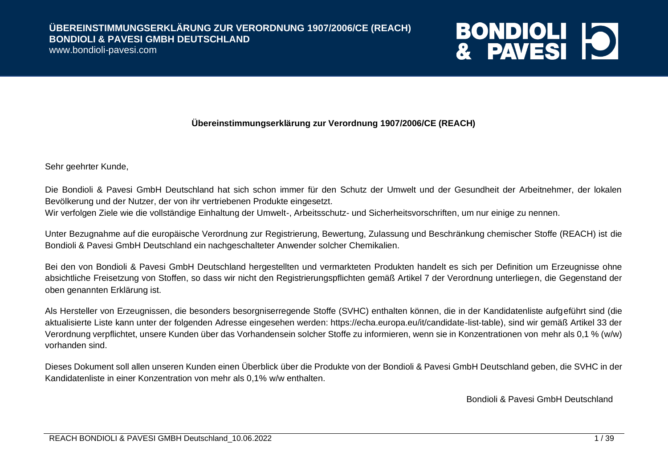www.bondioli-pavesi.com

# **BONDIOLI 10**

#### **Übereinstimmungserklärung zur Verordnung 1907/2006/CE (REACH)**

Sehr geehrter Kunde,

Die Bondioli & Pavesi GmbH Deutschland hat sich schon immer für den Schutz der Umwelt und der Gesundheit der Arbeitnehmer, der lokalen Bevölkerung und der Nutzer, der von ihr vertriebenen Produkte eingesetzt.

Wir verfolgen Ziele wie die vollständige Einhaltung der Umwelt-, Arbeitsschutz- und Sicherheitsvorschriften, um nur einige zu nennen.

Unter Bezugnahme auf die europäische Verordnung zur Registrierung, Bewertung, Zulassung und Beschränkung chemischer Stoffe (REACH) ist die Bondioli & Pavesi GmbH Deutschland ein nachgeschalteter Anwender solcher Chemikalien.

Bei den von Bondioli & Pavesi GmbH Deutschland hergestellten und vermarkteten Produkten handelt es sich per Definition um Erzeugnisse ohne absichtliche Freisetzung von Stoffen, so dass wir nicht den Registrierungspflichten gemäß Artikel 7 der Verordnung unterliegen, die Gegenstand der oben genannten Erklärung ist.

Als Hersteller von Erzeugnissen, die besonders besorgniserregende Stoffe (SVHC) enthalten können, die in der Kandidatenliste aufgeführt sind (die aktualisierte Liste kann unter der folgenden Adresse eingesehen werden: https://echa.europa.eu/it/candidate-list-table), sind wir gemäß Artikel 33 der Verordnung verpflichtet, unsere Kunden über das Vorhandensein solcher Stoffe zu informieren, wenn sie in Konzentrationen von mehr als 0,1 % (w/w) vorhanden sind.

Dieses Dokument soll allen unseren Kunden einen Überblick über die Produkte von der Bondioli & Pavesi GmbH Deutschland geben, die SVHC in der Kandidatenliste in einer Konzentration von mehr als 0,1% w/w enthalten.

Bondioli & Pavesi GmbH Deutschland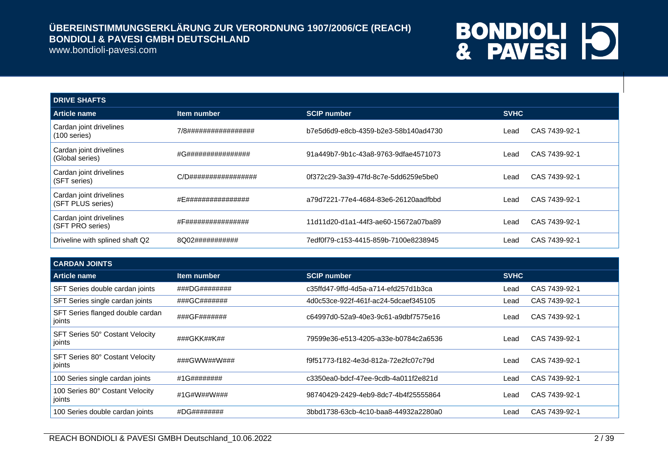www.bondioli-pavesi.com

| <b>DRIVE SHAFTS</b>                          |                      |                                      |             |               |
|----------------------------------------------|----------------------|--------------------------------------|-------------|---------------|
| <b>Article name</b>                          | Item number          | <b>SCIP number</b>                   | <b>SVHC</b> |               |
| Cardan joint drivelines<br>$(100$ series)    | 7/8################# | b7e5d6d9-e8cb-4359-b2e3-58b140ad4730 | Lead        | CAS 7439-92-1 |
| Cardan joint drivelines<br>(Global series)   | #G################   | 91a449b7-9b1c-43a8-9763-9dfae4571073 | Lead        | CAS 7439-92-1 |
| Cardan joint drivelines<br>(SFT series)      | C/D################# | 0f372c29-3a39-47fd-8c7e-5dd6259e5be0 | Lead        | CAS 7439-92-1 |
| Cardan joint drivelines<br>(SFT PLUS series) | #E################   | a79d7221-77e4-4684-83e6-26120aadfbbd | Lead        | CAS 7439-92-1 |
| Cardan joint drivelines<br>(SFT PRO series)  | #F################   | 11d11d20-d1a1-44f3-ae60-15672a07ba89 | Lead        | CAS 7439-92-1 |
| Driveline with splined shaft Q2              | 8Q02###########      | 7edf0f79-c153-4415-859b-7100e8238945 | Lead        | CAS 7439-92-1 |

| <b>CARDAN JOINTS</b>                         |               |                                      |             |               |
|----------------------------------------------|---------------|--------------------------------------|-------------|---------------|
| <b>Article name</b>                          | Item number   | <b>SCIP number</b>                   | <b>SVHC</b> |               |
| SFT Series double cardan joints              | ###DG######## | c35ffd47-9ffd-4d5a-a714-efd257d1b3ca | Lead        | CAS 7439-92-1 |
| SFT Series single cardan joints              | ###GC#######  | 4d0c53ce-922f-461f-ac24-5dcaef345105 | Lead        | CAS 7439-92-1 |
| SFT Series flanged double cardan<br>∣ joints | ###GF#######  | c64997d0-52a9-40e3-9c61-a9dbf7575e16 | Lead        | CAS 7439-92-1 |
| SFT Series 50° Costant Velocity<br>joints    | ###GKK##K##   | 79599e36-e513-4205-a33e-b0784c2a6536 | Lead        | CAS 7439-92-1 |
| SFT Series 80° Costant Velocity<br>joints    | ###GWW##W###  | f9f51773-f182-4e3d-812a-72e2fc07c79d | Lead        | CAS 7439-92-1 |
| 100 Series single cardan joints              | #1G########   | c3350ea0-bdcf-47ee-9cdb-4a011f2e821d | Lead        | CAS 7439-92-1 |
| 100 Series 80° Costant Velocity<br>joints    | #1G#W##W###   | 98740429-2429-4eb9-8dc7-4b4f25555864 | Lead        | CAS 7439-92-1 |
| 100 Series double cardan joints              | #DG########   | 3bbd1738-63cb-4c10-baa8-44932a2280a0 | Lead        | CAS 7439-92-1 |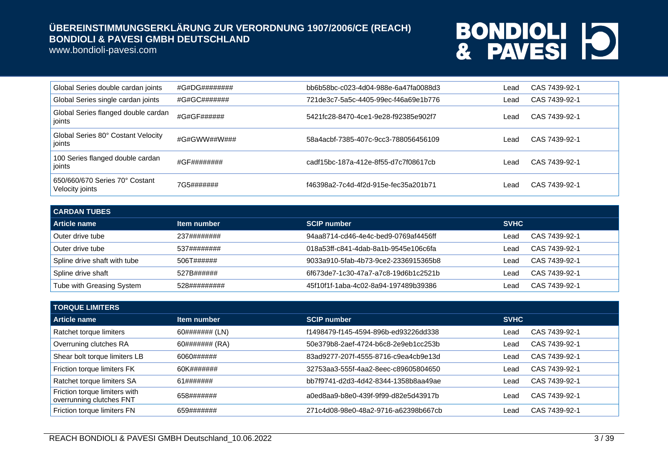www.bondioli-pavesi.com

| Global Series double cardan joints                | #G#DG######## | bb6b58bc-c023-4d04-988e-6a47fa0088d3 | Lead  | CAS 7439-92-1 |
|---------------------------------------------------|---------------|--------------------------------------|-------|---------------|
| Global Series single cardan joints                | #G#GC#######  | 721de3c7-5a5c-4405-99ec-f46a69e1b776 | ∟ead  | CAS 7439-92-1 |
| Global Series flanged double cardan<br>  joints   | #G#GF######   | 5421fc28-8470-4ce1-9e28-f92385e902f7 | Lead. | CAS 7439-92-1 |
| Global Series 80° Costant Velocity<br>ioints      | #G#GWW##W###  | 58a4acbf-7385-407c-9cc3-788056456109 | Lead. | CAS 7439-92-1 |
| 100 Series flanged double cardan<br>joints        | #GF########   | cadf15bc-187a-412e-8f55-d7c7f08617cb | Lead. | CAS 7439-92-1 |
| 650/660/670 Series 70° Costant<br>Velocity joints | 7G5#######    | f46398a2-7c4d-4f2d-915e-fec35a201b71 | -ead  | CAS 7439-92-1 |

| <b>CARDAN TUBES</b>          |              |                                      |             |               |  |
|------------------------------|--------------|--------------------------------------|-------------|---------------|--|
| Article name                 | Item number  | <b>SCIP number</b>                   | <b>SVHC</b> |               |  |
| Outer drive tube             | 237########  | 94aa8714-cd46-4e4c-bed9-0769af4456ff | Lead        | CAS 7439-92-1 |  |
| Outer drive tube             | 537########  | 018a53ff-c841-4dab-8a1b-9545e106c6fa | Lead        | CAS 7439-92-1 |  |
| Spline drive shaft with tube | 506T######   | 9033a910-5fab-4b73-9ce2-2336915365b8 | Lead        | CAS 7439-92-1 |  |
| Spline drive shaft           | 527B######   | 6f673de7-1c30-47a7-a7c8-19d6b1c2521b | Lead        | CAS 7439-92-1 |  |
| Tube with Greasing System    | 528######### | 45f10f1f-1aba-4c02-8a94-197489b39386 | Lead        | CAS 7439-92-1 |  |

| <b>TORQUE LIMITERS</b>                                    |                |                                      |             |               |  |
|-----------------------------------------------------------|----------------|--------------------------------------|-------------|---------------|--|
| <b>Article name</b>                                       | Item number    | <b>SCIP number</b>                   | <b>SVHC</b> |               |  |
| Ratchet torque limiters                                   | 60####### (LN) | f1498479-f145-4594-896b-ed93226dd338 | ∟ead        | CAS 7439-92-1 |  |
| Overruning clutches RA                                    | 60####### (RA) | 50e379b8-2aef-4724-b6c8-2e9eb1cc253b | Lead        | CAS 7439-92-1 |  |
| Shear bolt torque limiters LB                             | 6060######     | 83ad9277-207f-4555-8716-c9ea4cb9e13d | Lead        | CAS 7439-92-1 |  |
| Friction torque limiters FK                               | 60K#######     | 32753aa3-555f-4aa2-8eec-c89605804650 | _ead        | CAS 7439-92-1 |  |
| Ratchet torque limiters SA                                | 61#######      | bb7f9741-d2d3-4d42-8344-1358b8aa49ae | Lead        | CAS 7439-92-1 |  |
| Friction torque limiters with<br>overrunning clutches FNT | 658#######     | a0ed8aa9-b8e0-439f-9f99-d82e5d43917b | _ead        | CAS 7439-92-1 |  |
| Friction torque limiters FN                               | 659#######     | 271c4d08-98e0-48a2-9716-a62398b667cb | ∟ead        | CAS 7439-92-1 |  |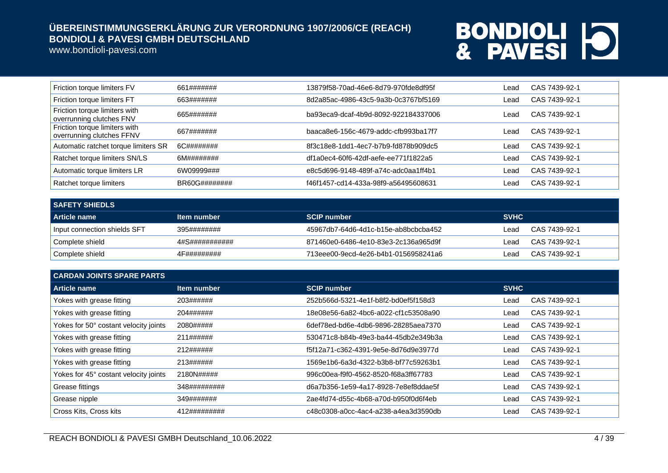www.bondioli-pavesi.com

| Friction torque limiters FV                                | 661#######    | 13879f58-70ad-46e6-8d79-970fde8df95f | Lead | CAS 7439-92-1 |
|------------------------------------------------------------|---------------|--------------------------------------|------|---------------|
| Friction torque limiters FT                                | 663#######    | 8d2a85ac-4986-43c5-9a3b-0c3767bf5169 | Lead | CAS 7439-92-1 |
| Friction torque limiters with<br>overrunning clutches FNV  | 665#######    | ba93eca9-dcaf-4b9d-8092-922184337006 | Lead | CAS 7439-92-1 |
| Friction torque limiters with<br>overrunning clutches FFNV | 667#######    | baaca8e6-156c-4679-addc-cfb993ba17f7 | Lead | CAS 7439-92-1 |
| Automatic ratchet torque limiters SR                       | 6C########    | 8f3c18e8-1dd1-4ec7-b7b9-fd878b909dc5 | Lead | CAS 7439-92-1 |
| Ratchet torque limiters SN/LS                              | 6M########    | df1a0ec4-60f6-42df-aefe-ee771f1822a5 | Lead | CAS 7439-92-1 |
| Automatic torque limiters LR                               | 6W09999###    | e8c5d696-9148-489f-a74c-adc0aa1ff4b1 | Lead | CAS 7439-92-1 |
| Ratchet torque limiters                                    | BR60G######## | f46f1457-cd14-433a-98f9-a56495608631 | Lead | CAS 7439-92-1 |

| <b>SAFETY SHIEDLS</b>        |                |                                      |             |               |
|------------------------------|----------------|--------------------------------------|-------------|---------------|
| Article name                 | Item number    | <b>SCIP number</b>                   | <b>SVHC</b> |               |
| Input connection shields SFT | 395########    | 45967db7-64d6-4d1c-b15e-ab8bcbcba452 | Lead        | CAS 7439-92-1 |
| Complete shield              | 4#S########### | 871460e0-6486-4e10-83e3-2c136a965d9f | Lead        | CAS 7439-92-1 |
| Complete shield              | 4F#########    | 713eee00-9ecd-4e26-b4b1-0156958241a6 | ∟ead        | CAS 7439-92-1 |

| <b>CARDAN JOINTS SPARE PARTS</b>      |              |                                      |             |               |
|---------------------------------------|--------------|--------------------------------------|-------------|---------------|
| <b>Article name</b>                   | Item number  | <b>SCIP number</b>                   | <b>SVHC</b> |               |
| Yokes with grease fitting             | 203######    | 252b566d-5321-4e1f-b8f2-bd0ef5f158d3 | Lead        | CAS 7439-92-1 |
| Yokes with grease fitting             | 204######    | 18e08e56-6a82-4bc6-a022-cf1c53508a90 | Lead        | CAS 7439-92-1 |
| Yokes for 50° costant velocity joints | 2080#####    | 6def78ed-bd6e-4db6-9896-28285aea7370 | Lead        | CAS 7439-92-1 |
| Yokes with grease fitting             | 211######    | 530471c8-b84b-49e3-ba44-45db2e349b3a | Lead        | CAS 7439-92-1 |
| Yokes with grease fitting             | 212######    | f5f12a71-c362-4391-9e5e-8d76d9e3977d | Lead        | CAS 7439-92-1 |
| Yokes with grease fitting             | 213######    | 1569e1b6-6a3d-4322-b3b8-bf77c59263b1 | Lead        | CAS 7439-92-1 |
| Yokes for 45° costant velocity joints | 2180N#####   | 996c00ea-f9f0-4562-8520-f68a3ff67783 | Lead        | CAS 7439-92-1 |
| Grease fittings                       | 348######### | d6a7b356-1e59-4a17-8928-7e8ef8ddae5f | Lead        | CAS 7439-92-1 |
| Grease nipple                         | 349#######   | 2ae4fd74-d55c-4b68-a70d-b950f0d6f4eb | Lead        | CAS 7439-92-1 |
| Cross Kits, Cross kits                | 412######### | c48c0308-a0cc-4ac4-a238-a4ea3d3590db | Lead        | CAS 7439-92-1 |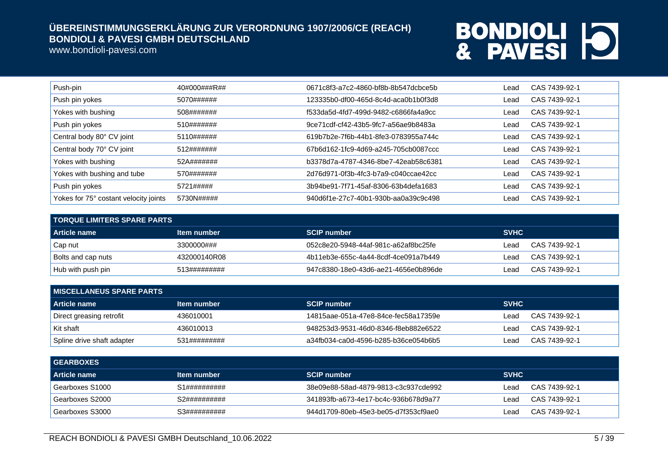www.bondioli-pavesi.com

| Push-pin                              | 40#000###R## | 0671c8f3-a7c2-4860-bf8b-8b547dcbce5b | Lead | CAS 7439-92-1 |
|---------------------------------------|--------------|--------------------------------------|------|---------------|
| Push pin yokes                        | 5070######   | 123335b0-df00-465d-8c4d-aca0b1b0f3d8 | Lead | CAS 7439-92-1 |
| Yokes with bushing                    | 508#######   | f533da5d-4fd7-499d-9482-c6866fa4a9cc | Lead | CAS 7439-92-1 |
| Push pin yokes                        | 510#######   | 9ce71cdf-cf42-43b5-9fc7-a56ae9b8483a | Lead | CAS 7439-92-1 |
| Central body 80° CV joint             | 5110######   | 619b7b2e-7f6b-44b1-8fe3-0783955a744c | Lead | CAS 7439-92-1 |
| Central body 70° CV joint             | 512#######   | 67b6d162-1fc9-4d69-a245-705cb0087ccc | Lead | CAS 7439-92-1 |
| Yokes with bushing                    | 52A#######   | b3378d7a-4787-4346-8be7-42eab58c6381 | Lead | CAS 7439-92-1 |
| Yokes with bushing and tube           | 570#######   | 2d76d971-0f3b-4fc3-b7a9-c040ccae42cc | Lead | CAS 7439-92-1 |
| Push pin yokes                        | 5721#####    | 3b94be91-7f71-45af-8306-63b4defa1683 | Lead | CAS 7439-92-1 |
| Yokes for 75° costant velocity joints | 5730N#####   | 940d6f1e-27c7-40b1-930b-aa0a39c9c498 | Lead | CAS 7439-92-1 |

| I TORQUE LIMITERS SPARE PARTS . |              |                                      |             |               |  |
|---------------------------------|--------------|--------------------------------------|-------------|---------------|--|
| Article name                    | Item number  | <b>SCIP number</b>                   | <b>SVHC</b> |               |  |
| Cap nut                         | 3300000###   | 052c8e20-5948-44af-981c-a62af8bc25fe | Lead        | CAS 7439-92-1 |  |
| <b>Bolts and cap nuts</b>       | 432000140R08 | 4b11eb3e-655c-4a44-8cdf-4ce091a7b449 | Lead        | CAS 7439-92-1 |  |
| Hub with push pin               | 513######### | 947c8380-18e0-43d6-ae21-4656e0b896de | Lead        | CAS 7439-92-1 |  |

| <b>I MISCELLANEUS SPARE PARTS</b> |              |                                      |             |               |  |
|-----------------------------------|--------------|--------------------------------------|-------------|---------------|--|
| <b>Article name</b>               | Item number  | <b>SCIP</b> number                   | <b>SVHC</b> |               |  |
| Direct greasing retrofit          | 436010001    | 14815aae-051a-47e8-84ce-fec58a17359e | Lead        | CAS 7439-92-1 |  |
| Kit shaft                         | 436010013    | 948253d3-9531-46d0-8346-f8eb882e6522 | Lead        | CAS 7439-92-1 |  |
| Spline drive shaft adapter        | 531######### | a34fb034-ca0d-4596-b285-b36ce054b6b5 | Lead        | CAS 7439-92-1 |  |

| <b>GEARBOXES</b> |              |                                      |             |               |
|------------------|--------------|--------------------------------------|-------------|---------------|
| Article name     | Item number  | <b>SCIP number</b>                   | <b>SVHC</b> |               |
| Gearboxes S1000  | S1########## | 38e09e88-58ad-4879-9813-c3c937cde992 | Lead        | CAS 7439-92-1 |
| Gearboxes S2000  | S2########## | 341893fb-a673-4e17-bc4c-936b678d9a77 | Lead        | CAS 7439-92-1 |
| Gearboxes S3000  | S3########## | 944d1709-80eb-45e3-be05-d7f353cf9ae0 | Lead        | CAS 7439-92-1 |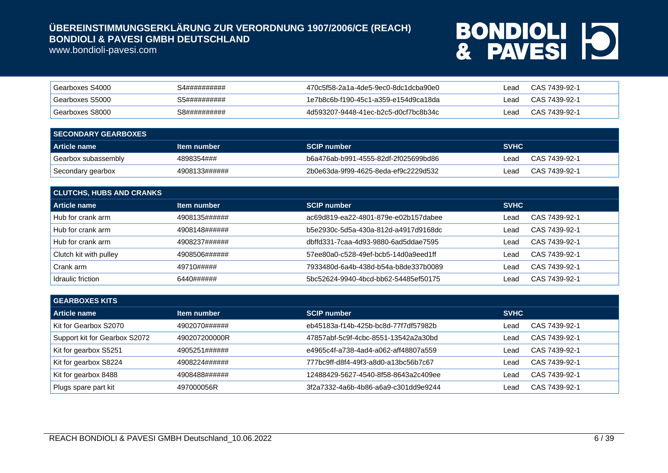www.bondioli-pavesi.com

| Gearboxes S4000              | S4########## | 470c5f58-2a1a-4de5-9ec0-8dc1dcba90e0 | _ead | CAS 7439-92-1 |
|------------------------------|--------------|--------------------------------------|------|---------------|
| Gearboxes S5000              | S5########## | 1e7b8c6b-f190-45c1-a359-e154d9ca18da | _ead | CAS 7439-92-1 |
| <sup>1</sup> Gearboxes S8000 | S8########## | 4d593207-9448-41ec-b2c5-d0cf7bc8b34c | _ead | CAS 7439-92-1 |

| <b>SECONDARY GEARBOXES</b> |               |                                      |             |               |
|----------------------------|---------------|--------------------------------------|-------------|---------------|
| Article name               | Item number   | <b>SCIP number</b>                   | <b>SVHC</b> |               |
| Gearbox subassembly        | 4898354###    | b6a476ab-b991-4555-82df-2f025699bd86 | Lead        | CAS 7439-92-1 |
| Secondary gearbox          | 4908133###### | 2b0e63da-9f99-4625-8eda-ef9c2229d532 | ∟ead        | CAS 7439-92-1 |

| <b>CLUTCHS, HUBS AND CRANKS</b> |               |                                      |             |               |  |
|---------------------------------|---------------|--------------------------------------|-------------|---------------|--|
| Article name                    | Item number   | <b>SCIP number</b>                   | <b>SVHC</b> |               |  |
| Hub for crank arm               | 4908135###### | ac69d819-ea22-4801-879e-e02b157dabee | Lead        | CAS 7439-92-1 |  |
| Hub for crank arm               | 4908148###### | b5e2930c-5d5a-430a-812d-a4917d9168dc | Lead        | CAS 7439-92-1 |  |
| Hub for crank arm               | 4908237###### | dbffd331-7caa-4d93-9880-6ad5ddae7595 | Lead        | CAS 7439-92-1 |  |
| Clutch kit with pulley          | 4908506###### | 57ee80a0-c528-49ef-bcb5-14d0a9eed1ff | Lead        | CAS 7439-92-1 |  |
| Crank arm                       | 49710#####    | 7933480d-6a4b-438d-b54a-b8de337b0089 | Lead        | CAS 7439-92-1 |  |
| Idraulic friction               | 6440######    | 5bc52624-9940-4bcd-bb62-54485ef50175 | Lead        | CAS 7439-92-1 |  |

| <b>GEARBOXES KITS</b>         |               |                                      |             |               |
|-------------------------------|---------------|--------------------------------------|-------------|---------------|
| Article name                  | Item number   | <b>SCIP number</b>                   | <b>SVHC</b> |               |
| Kit for Gearbox S2070         | 4902070###### | eb45183a-f14b-425b-bc8d-77f7df57982b | ∟ead        | CAS 7439-92-1 |
| Support kit for Gearbox S2072 | 490207200000R | 47857abf-5c9f-4cbc-8551-13542a2a30bd | ∟ead        | CAS 7439-92-1 |
| Kit for gearbox S5251         | 4905251###### | e4965c4f-a738-4ad4-a062-aff48807a559 | ∟ead        | CAS 7439-92-1 |
| Kit for gearbox S8224         | 4908224###### | 777bc9ff-d8f4-49f3-a8d0-a13bc56b7c67 | ∟ead        | CAS 7439-92-1 |
| Kit for gearbox 8488          | 4908488###### | 12488429-5627-4540-8f58-8643a2c409ee | ∟ead        | CAS 7439-92-1 |
| Plugs spare part kit          | 497000056R    | 3f2a7332-4a6b-4b86-a6a9-c301dd9e9244 | ∟ead        | CAS 7439-92-1 |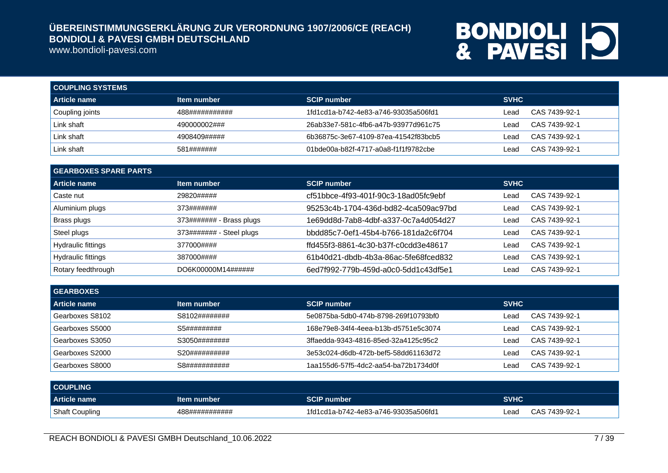www.bondioli-pavesi.com

| <b>COUPLING SYSTEMS</b> |                |                                      |             |               |
|-------------------------|----------------|--------------------------------------|-------------|---------------|
| Article name            | Item number    | <b>SCIP number</b>                   | <b>SVHC</b> |               |
| Coupling joints         | 488########### | 1fd1cd1a-b742-4e83-a746-93035a506fd1 | Lead        | CAS 7439-92-1 |
| Link shaft              | 490000002###   | 26ab33e7-581c-4fb6-a47b-93977d961c75 | Lead        | CAS 7439-92-1 |
| Link shaft              | 4908409#####   | 6b36875c-3e67-4109-87ea-41542f83bcb5 | Lead        | CAS 7439-92-1 |
| Link shaft              | 581#######     | 01bde00a-b82f-4717-a0a8-f1f1f9782cbe | Lead        | CAS 7439-92-1 |

| <b>GEARBOXES SPARE PARTS</b> |                          |                                      |             |               |  |
|------------------------------|--------------------------|--------------------------------------|-------------|---------------|--|
| Article name                 | Item number              | <b>SCIP number</b>                   | <b>SVHC</b> |               |  |
| Caste nut                    | 29820#####               | cf51bbce-4f93-401f-90c3-18ad05fc9ebf | Lead        | CAS 7439-92-1 |  |
| Aluminium plugs              | 373#######               | 95253c4b-1704-436d-bd82-4ca509ac97bd | Lead        | CAS 7439-92-1 |  |
| Brass plugs                  | 373####### - Brass plugs | 1e69dd8d-7ab8-4dbf-a337-0c7a4d054d27 | Lead        | CAS 7439-92-1 |  |
| Steel plugs                  | 373####### - Steel plugs | bbdd85c7-0ef1-45b4-b766-181da2c6f704 | Lead        | CAS 7439-92-1 |  |
| Hydraulic fittings           | 377000####               | ffd455f3-8861-4c30-b37f-c0cdd3e48617 | Lead        | CAS 7439-92-1 |  |
| Hydraulic fittings           | 387000####               | 61b40d21-dbdb-4b3a-86ac-5fe68fced832 | Lead        | CAS 7439-92-1 |  |
| Rotary feedthrough           | DO6K00000M14######       | 6ed7f992-779b-459d-a0c0-5dd1c43df5e1 | Lead        | CAS 7439-92-1 |  |

| <b>GEARBOXES</b> |               |                                      |                       |
|------------------|---------------|--------------------------------------|-----------------------|
| Article name     | Item number   | <b>SCIP number</b>                   | <b>SVHC</b>           |
| Gearboxes S8102  | S8102######## | 5e0875ba-5db0-474b-8798-269f10793bf0 | CAS 7439-92-1<br>Lead |
| Gearboxes S5000  | S5#########   | 168e79e8-34f4-4eea-b13b-d5751e5c3074 | CAS 7439-92-1<br>Lead |
| Gearboxes S3050  | S3050######## | 3ffaedda-9343-4816-85ed-32a4125c95c2 | CAS 7439-92-1<br>Lead |
| Gearboxes S2000  | S20########## | 3e53c024-d6db-472b-bef5-58dd61163d72 | CAS 7439-92-1<br>Lead |
| Gearboxes S8000  | S8########### | 1aa155d6-57f5-4dc2-aa54-ba72b1734d0f | CAS 7439-92-1<br>Leac |

| <b>COUPLING</b>       |                |                                      |      |               |
|-----------------------|----------------|--------------------------------------|------|---------------|
| Article name          | Item number    | <b>SCIP number</b>                   | SVHC |               |
| <b>Shaft Coupling</b> | 488########### | 1fd1cd1a-b742-4e83-a746-93035a506fd1 | _ead | CAS 7439-92-1 |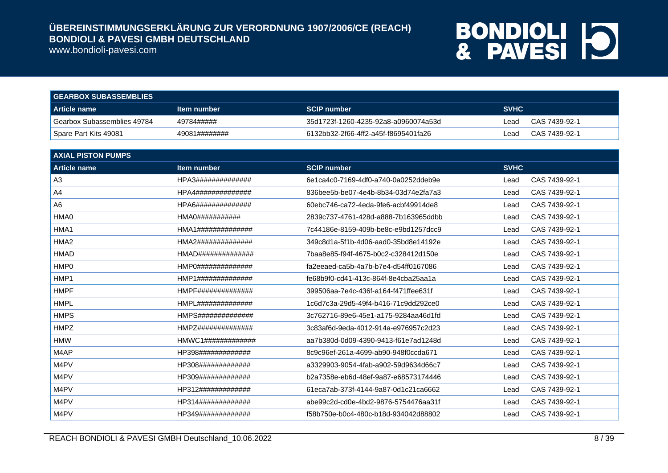www.bondioli-pavesi.com

| <b>GEARBOX SUBASSEMBLIES</b> |               |                                      |             |               |
|------------------------------|---------------|--------------------------------------|-------------|---------------|
| Article name                 | Item number   | <b>SCIP number</b>                   | <b>SVHC</b> |               |
| Gearbox Subassemblies 49784  | 49784#####    | 35d1723f-1260-4235-92a8-a0960074a53d | Lead.       | CAS 7439-92-1 |
| Spare Part Kits 49081        | 49081######## | 6132bb32-2f66-4ff2-a45f-f8695401fa26 | ∟ead        | CAS 7439-92-1 |

| <b>AXIAL PISTON PUMPS</b> |                                    |                                      |             |               |
|---------------------------|------------------------------------|--------------------------------------|-------------|---------------|
| <b>Article name</b>       | Item number                        | <b>SCIP number</b>                   | <b>SVHC</b> |               |
| A3                        | HPA3##############                 | 6e1ca4c0-7169-4df0-a740-0a0252ddeb9e | Lead        | CAS 7439-92-1 |
| A4                        | HPA4##############                 | 836bee5b-be07-4e4b-8b34-03d74e2fa7a3 | Lead        | CAS 7439-92-1 |
| A6                        | HPA6##############                 | 60ebc746-ca72-4eda-9fe6-acbf49914de8 | Lead        | CAS 7439-92-1 |
| HMA0                      |                                    | 2839c737-4761-428d-a888-7b163965ddbb | Lead        | CAS 7439-92-1 |
| HMA1                      | HMA1##############                 | 7c44186e-8159-409b-be8c-e9bd1257dcc9 | Lead        | CAS 7439-92-1 |
| HMA <sub>2</sub>          | HMA2##############                 | 349c8d1a-5f1b-4d06-aad0-35bd8e14192e | Lead        | CAS 7439-92-1 |
| <b>HMAD</b>               | HMAD##############                 | 7baa8e85-f94f-4675-b0c2-c328412d150e | Lead        | CAS 7439-92-1 |
| HMP <sub>0</sub>          | HMPO################               | fa2eeaed-ca5b-4a7b-b7e4-d54ff0167086 | Lead        | CAS 7439-92-1 |
| HMP1                      | HMP1##############                 | fe68b9f0-cd41-413c-864f-8e4cba25aa1a | Lead        | CAS 7439-92-1 |
| <b>HMPF</b>               | HMPF##############                 | 399506aa-7e4c-436f-a164-f471ffee631f | Lead        | CAS 7439-92-1 |
| <b>HMPL</b>               | HMPL##############                 | 1c6d7c3a-29d5-49f4-b416-71c9dd292ce0 | Lead        | CAS 7439-92-1 |
| <b>HMPS</b>               | HMPS##############                 | 3c762716-89e6-45e1-a175-9284aa46d1fd | Lead        | CAS 7439-92-1 |
| <b>HMPZ</b>               | HMPZ##############                 | 3c83af6d-9eda-4012-914a-e976957c2d23 | Lead        | CAS 7439-92-1 |
| <b>HMW</b>                | HMWC1# # # # # # # # # # # # # # # | aa7b380d-0d09-4390-9413-f61e7ad1248d | Lead        | CAS 7439-92-1 |
| M4AP                      | HP398#############                 | 8c9c96ef-261a-4699-ab90-948f0ccda671 | Lead        | CAS 7439-92-1 |
| M4PV                      | HP308#############                 | a3329903-9054-4fab-a902-59d9634d66c7 | Lead        | CAS 7439-92-1 |
| M4PV                      | HP309#############                 | b2a7358e-eb6d-48ef-9a87-e68573174446 | Lead        | CAS 7439-92-1 |
| M4PV                      | HP312#############                 | 61eca7ab-373f-4144-9a87-0d1c21ca6662 | Lead        | CAS 7439-92-1 |
| M4PV                      | HP314#############                 | abe99c2d-cd0e-4bd2-9876-5754476aa31f | Lead        | CAS 7439-92-1 |
| M4PV                      | HP349#############                 | f58b750e-b0c4-480c-b18d-934042d88802 | Lead        | CAS 7439-92-1 |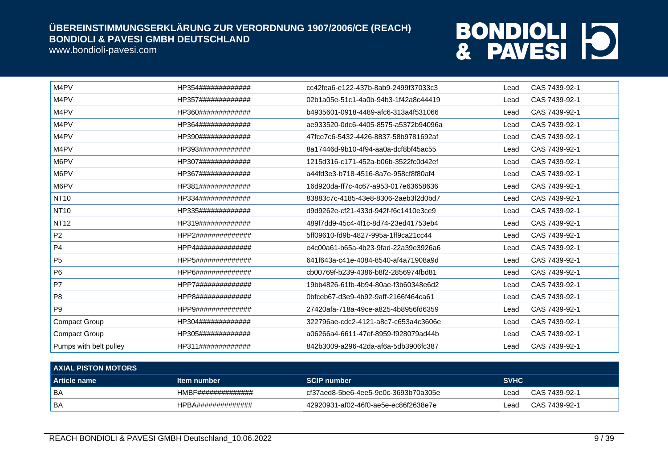#### www.bondioli-pavesi.com

| M4PV                   | HP354############# | cc42fea6-e122-437b-8ab9-2499f37033c3 | Lead | CAS 7439-92-1 |
|------------------------|--------------------|--------------------------------------|------|---------------|
| M4PV                   | HP357############# | 02b1a05e-51c1-4a0b-94b3-1f42a8c44419 | Lead | CAS 7439-92-1 |
| M4PV                   | HP360############# | b4935601-0918-4489-afc6-313a4f531066 | Lead | CAS 7439-92-1 |
| M4PV                   | HP364############# | ae933520-0dc6-4405-8575-a5372b94096a | Lead | CAS 7439-92-1 |
| M4PV                   | HP390############# | 47fce7c6-5432-4426-8837-58b9781692af | Lead | CAS 7439-92-1 |
| M4PV                   | HP393############# | 8a17446d-9b10-4f94-aa0a-dcf8bf45ac55 | Lead | CAS 7439-92-1 |
| M6PV                   | HP307############# | 1215d316-c171-452a-b06b-3522fc0d42ef | Lead | CAS 7439-92-1 |
| M6PV                   | HP367############# | a44fd3e3-b718-4516-8a7e-958cf8f80af4 | Lead | CAS 7439-92-1 |
| M6PV                   | HP381############# | 16d920da-ff7c-4c67-a953-017e63658636 | Lead | CAS 7439-92-1 |
| <b>NT10</b>            | HP334############# | 83883c7c-4185-43e8-8306-2aeb3f2d0bd7 | Lead | CAS 7439-92-1 |
| <b>NT10</b>            | HP335############# | d9d9262e-cf21-433d-942f-f6c1410e3ce9 | Lead | CAS 7439-92-1 |
| <b>NT12</b>            | HP319############# | 489f7dd9-45c4-4f1c-8d74-23ed41753eb4 | Lead | CAS 7439-92-1 |
| P <sub>2</sub>         | HPP2############## | 5ff09610-fd9b-4827-995a-1ff9ca21cc44 | Lead | CAS 7439-92-1 |
| P <sub>4</sub>         | HPP4############## | e4c00a61-b65a-4b23-9fad-22a39e3926a6 | Lead | CAS 7439-92-1 |
| P <sub>5</sub>         | HPP5############## | 641f643a-c41e-4084-8540-af4a71908a9d | Lead | CAS 7439-92-1 |
| P <sub>6</sub>         | HPP6############## | cb00769f-b239-4386-b8f2-2856974fbd81 | Lead | CAS 7439-92-1 |
| P7                     | HPP7############## | 19bb4826-61fb-4b94-80ae-f3b60348e6d2 | Lead | CAS 7439-92-1 |
| P <sub>8</sub>         | HPP8############## | 0bfceb67-d3e9-4b92-9aff-2166f464ca61 | Lead | CAS 7439-92-1 |
| P <sub>9</sub>         | HPP9############## | 27420afa-718a-49ce-a825-4b8956fd6359 | Lead | CAS 7439-92-1 |
| Compact Group          | HP304############# | 322796ae-cdc2-4121-a8c7-c653a4c3606e | Lead | CAS 7439-92-1 |
| <b>Compact Group</b>   | HP305############# | a06266a4-6611-47ef-8959-f928079ad44b | Lead | CAS 7439-92-1 |
| Pumps with belt pulley | HP311############# | 842b3009-a296-42da-af6a-5db3906fc387 | Lead | CAS 7439-92-1 |

| <b>AXIAL PISTON MOTORS</b> |                    |                                      |             |               |
|----------------------------|--------------------|--------------------------------------|-------------|---------------|
| <b>Article name</b>        | Item number        | <b>SCIP number</b>                   | <b>SVHC</b> |               |
| ' BA                       | HMBF############## | cf37aed8-5be6-4ee5-9e0c-3693b70a305e | ∟ead        | CAS 7439-92-1 |
| <b>BA</b>                  | HPBA############## | 42920931-af02-46f0-ae5e-ec86f2638e7e | Lead        | CAS 7439-92-1 |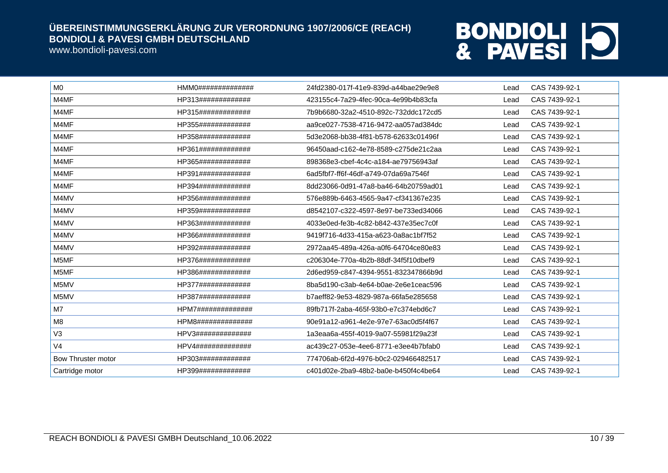### www.bondioli-pavesi.com

| M <sub>0</sub>     | HMM0############## | 24fd2380-017f-41e9-839d-a44bae29e9e8 | Lead | CAS 7439-92-1 |
|--------------------|--------------------|--------------------------------------|------|---------------|
| M4MF               | HP313############# | 423155c4-7a29-4fec-90ca-4e99b4b83cfa | Lead | CAS 7439-92-1 |
| M4MF               | HP315############# | 7b9b6680-32a2-4510-892c-732ddc172cd5 | Lead | CAS 7439-92-1 |
| M4MF               | HP355############# | aa9ce027-7538-4716-9472-aa057ad384dc | Lead | CAS 7439-92-1 |
| M4MF               | HP358############# | 5d3e2068-bb38-4f81-b578-62633c01496f | Lead | CAS 7439-92-1 |
| M4MF               | HP361############# | 96450aad-c162-4e78-8589-c275de21c2aa | Lead | CAS 7439-92-1 |
| M4MF               | HP365############# | 898368e3-cbef-4c4c-a184-ae79756943af | Lead | CAS 7439-92-1 |
| M4MF               | HP391############# | 6ad5fbf7-ff6f-46df-a749-07da69a7546f | Lead | CAS 7439-92-1 |
| M4MF               | HP394############# | 8dd23066-0d91-47a8-ba46-64b20759ad01 | Lead | CAS 7439-92-1 |
| M4MV               | HP356############# | 576e889b-6463-4565-9a47-cf341367e235 | Lead | CAS 7439-92-1 |
| M4MV               | HP359############# | d8542107-c322-4597-8e97-be733ed34066 | Lead | CAS 7439-92-1 |
| M4MV               | HP363############# | 4033e0ed-fe3b-4c82-b842-437e35ec7c0f | Lead | CAS 7439-92-1 |
| M4MV               | HP366############# | 9419f716-4d33-415a-a623-0a8ac1bf7f52 | Lead | CAS 7439-92-1 |
| M4MV               | HP392############# | 2972aa45-489a-426a-a0f6-64704ce80e83 | Lead | CAS 7439-92-1 |
| M5MF               | HP376############# | c206304e-770a-4b2b-88df-34f5f10dbef9 | Lead | CAS 7439-92-1 |
| M5MF               | HP386############# | 2d6ed959-c847-4394-9551-832347866b9d | Lead | CAS 7439-92-1 |
| M5MV               | HP377############# | 8ba5d190-c3ab-4e64-b0ae-2e6e1ceac596 | Lead | CAS 7439-92-1 |
| M5MV               | HP387############# | b7aeff82-9e53-4829-987a-66fa5e285658 | Lead | CAS 7439-92-1 |
| M7                 | HPM7############## | 89fb717f-2aba-465f-93b0-e7c374ebd6c7 | Lead | CAS 7439-92-1 |
| M <sub>8</sub>     | HPM8############## | 90e91a12-a961-4e2e-97e7-63ac0d5f4f67 | Lead | CAS 7439-92-1 |
| V3                 | HPV3############## | 1a3eaa6a-455f-4019-9a07-55981f29a23f | Lead | CAS 7439-92-1 |
| V <sub>4</sub>     | HPV4############## | ac439c27-053e-4ee6-8771-e3ee4b7bfab0 | Lead | CAS 7439-92-1 |
| Bow Thruster motor | HP303############# | 774706ab-6f2d-4976-b0c2-029466482517 | Lead | CAS 7439-92-1 |
| Cartridge motor    | HP399############# | c401d02e-2ba9-48b2-ba0e-b450f4c4be64 | Lead | CAS 7439-92-1 |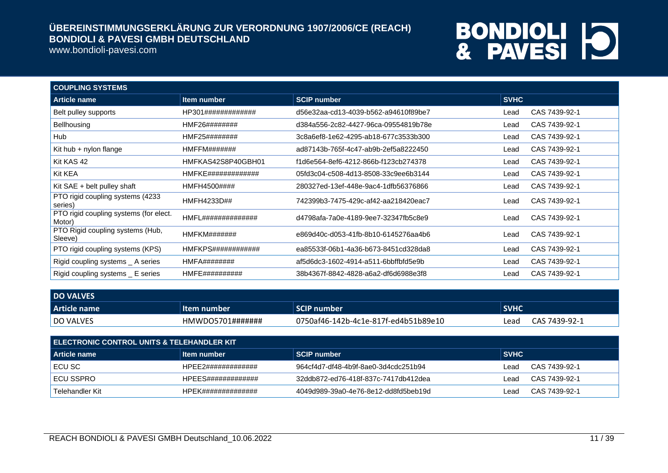www.bondioli-pavesi.com

| <b>COUPLING SYSTEMS</b>                          |                               |                                      |             |               |
|--------------------------------------------------|-------------------------------|--------------------------------------|-------------|---------------|
| <b>Article name</b>                              | Item number                   | <b>SCIP number</b>                   | <b>SVHC</b> |               |
| Belt pulley supports                             | HP301#############            | d56e32aa-cd13-4039-b562-a94610f89be7 | Lead        | CAS 7439-92-1 |
| Bellhousing                                      | HMF26########                 | d384a556-2c82-4427-96ca-09554819b78e | Lead        | CAS 7439-92-1 |
| Hub                                              | HMF25########                 | 3c8a6ef8-1e62-4295-ab18-677c3533b300 | Lead        | CAS 7439-92-1 |
| Kit hub $+$ nylon flange                         | HMFFM#######                  | ad87143b-765f-4c47-ab9b-2ef5a8222450 | Lead        | CAS 7439-92-1 |
| Kit KAS 42                                       | HMFKAS42S8P40GBH01            | f1d6e564-8ef6-4212-866b-f123cb274378 | Lead        | CAS 7439-92-1 |
| Kit KEA                                          | HMFKE#############            | 05fd3c04-c508-4d13-8508-33c9ee6b3144 | Lead        | CAS 7439-92-1 |
| Kit SAE + belt pulley shaft                      | HMFH4500####                  | 280327ed-13ef-448e-9ac4-1dfb56376866 | Lead        | CAS 7439-92-1 |
| PTO rigid coupling systems (4233)<br>series)     | HMFH4233D##                   | 742399b3-7475-429c-af42-aa218420eac7 | Lead        | CAS 7439-92-1 |
| PTO rigid coupling systems (for elect.<br>Motor) | HMFL##############            | d4798afa-7a0e-4189-9ee7-32347fb5c8e9 | Lead        | CAS 7439-92-1 |
| PTO Rigid coupling systems (Hub,<br>Sleeve)      | HMFKM#######                  | e869d40c-d053-41fb-8b10-6145276aa4b6 | Lead        | CAS 7439-92-1 |
| PTO rigid coupling systems (KPS)                 | $HMFKPS\#4\#4\#4\#4\#4\#4\#4$ | ea85533f-06b1-4a36-b673-8451cd328da8 | Lead        | CAS 7439-92-1 |
| Rigid coupling systems _ A series                | HMFA########                  | af5d6dc3-1602-4914-a511-6bbffbfd5e9b | Lead        | CAS 7439-92-1 |
| Rigid coupling systems _ E series                | <b>HMFE##########</b>         | 38b4367f-8842-4828-a6a2-df6d6988e3f8 | Lead        | CAS 7439-92-1 |

| <b>DO VALVES</b> |                       |                                      |             |               |
|------------------|-----------------------|--------------------------------------|-------------|---------------|
| Article name     | i Item number         | <b>SCIP number</b>                   | <b>SVHC</b> |               |
| <b>DO VALVES</b> | $HMWDO5701\#$ ####### | 0750af46-142b-4c1e-817f-ed4b51b89e10 | Lead        | CAS 7439-92-1 |

| I ELECTRONIC CONTROL UNITS & TELEHANDLER KIT. |                    |                                       |        |               |  |
|-----------------------------------------------|--------------------|---------------------------------------|--------|---------------|--|
| Article name                                  | ∣ltem number       | SCIP number                           | ∣ SVHC |               |  |
| I ECU SC                                      | HPFF2############# | 964cf4d7-df48-4b9f-8ae0-3d4cdc251b94  | ∟ead   | CAS 7439-92-1 |  |
| I ECU SSPRO                                   | HPFFS############# | .32ddb872-ed76-418f-837c-7417db412dea | ∟ead   | CAS 7439-92-1 |  |
| Telehandler Kit                               | HPFK############## | 4049d989-39a0-4e76-8e12-dd8fd5beb19d  | _ead   | CAS 7439-92-1 |  |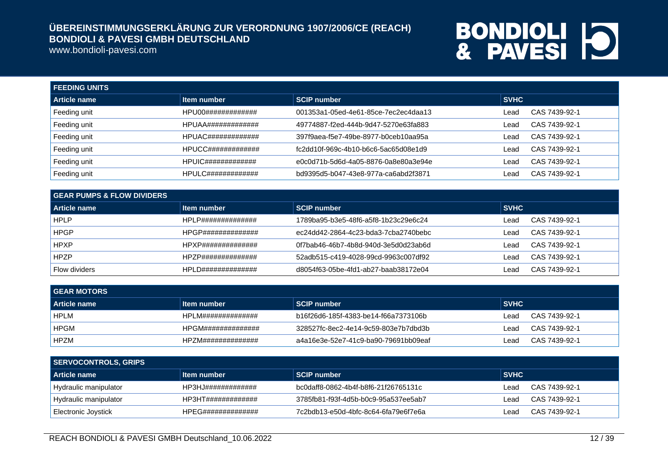www.bondioli-pavesi.com

| <b>FEEDING UNITS</b> |                    |                                      |             |               |  |
|----------------------|--------------------|--------------------------------------|-------------|---------------|--|
| Article name         | Item number        | <b>SCIP number</b>                   | <b>SVHC</b> |               |  |
| Feeding unit         | HPU00############# | 001353a1-05ed-4e61-85ce-7ec2ec4daa13 | Lead        | CAS 7439-92-1 |  |
| Feeding unit         | HPUAA############# | 49774887-f2ed-444b-9d47-5270e63fa883 | Lead        | CAS 7439-92-1 |  |
| Feeding unit         | HPUAC############# | 397f9aea-f5e7-49be-8977-b0ceb10aa95a | Lead        | CAS 7439-92-1 |  |
| Feeding unit         | HPUCC############# | fc2dd10f-969c-4b10-b6c6-5ac65d08e1d9 | Lead        | CAS 7439-92-1 |  |
| Feeding unit         |                    | e0c0d71b-5d6d-4a05-8876-0a8e80a3e94e | Lead        | CAS 7439-92-1 |  |
| Feeding unit         | HPULC############# | bd9395d5-b047-43e8-977a-ca6abd2f3871 | Lead        | CAS 7439-92-1 |  |

| <b>GEAR PUMPS &amp; FLOW DIVIDERS</b> |                     |                                      |             |               |  |
|---------------------------------------|---------------------|--------------------------------------|-------------|---------------|--|
| Article name                          | Item number         | SCIP number                          | <b>SVHC</b> |               |  |
| <b>HPLP</b>                           | HPLP##############  | 1789ba95-b3e5-48f6-a5f8-1b23c29e6c24 | Lead        | CAS 7439-92-1 |  |
| <b>HPGP</b>                           | HPGP##############  | ec24dd42-2864-4c23-bda3-7cba2740bebc | Lead        | CAS 7439-92-1 |  |
| <b>HPXP</b>                           | HPXP##############  | 0f7bab46-46b7-4b8d-940d-3e5d0d23ab6d | Lead        | CAS 7439-92-1 |  |
| <b>HPZP</b>                           | HPZP##############  | 52adb515-c419-4028-99cd-9963c007df92 | Lead        | CAS 7439-92-1 |  |
| Flow dividers                         | HPL D############## | d8054f63-05be-4fd1-ab27-baab38172e04 | Lead        | CAS 7439-92-1 |  |

| <b>GEAR MOTORS</b> |                    |                                      |                       |  |  |
|--------------------|--------------------|--------------------------------------|-----------------------|--|--|
| Article name       | ∣ltem number       | <b>SCIP number</b>                   | <b>SVHC</b>           |  |  |
| HPLM               | HPLM############## | b16f26d6-185f-4383-be14-f66a7373106b | CAS 7439-92-1<br>Lead |  |  |
| <b>HPGM</b>        | HPGM############## | 328527fc-8ec2-4e14-9c59-803e7b7dbd3b | CAS 7439-92-1<br>Lead |  |  |
| HPZM               | HPZM############## | a4a16e3e-52e7-41c9-ba90-79691bb09eaf | CAS 7439-92-1<br>_ead |  |  |

| SERVOCONTROLS, GRIPS  |                    |                                      |        |               |  |
|-----------------------|--------------------|--------------------------------------|--------|---------------|--|
| <b>Article name</b>   | ltem number        | <b>SCIP number</b>                   | ∣ SVHC |               |  |
| Hydraulic manipulator | HP3HJ############# | bc0daff8-0862-4b4f-b8f6-21f26765131c | Lead   | CAS 7439-92-1 |  |
| Hydraulic manipulator | HP3HT############# | 3785fb81-f93f-4d5b-b0c9-95a537ee5ab7 | Lead   | CAS 7439-92-1 |  |
| ' Electronic Joystick | HPEG############## | 7c2bdb13-e50d-4bfc-8c64-6fa79e6f7e6a | _ead   | CAS 7439-92-1 |  |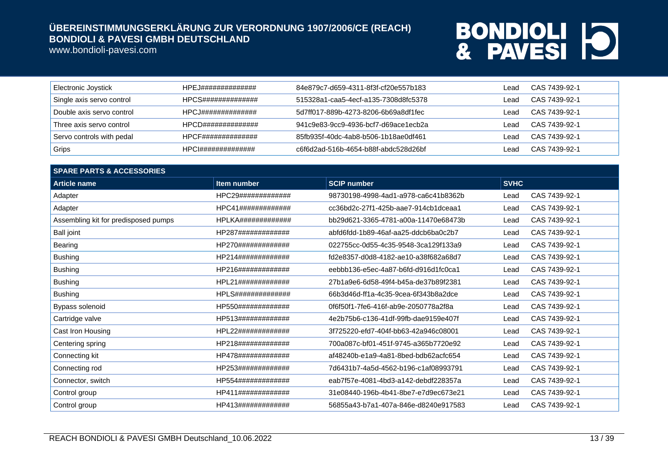www.bondioli-pavesi.com

| Electronic Joystick       | HPEJ############## | 84e879c7-d659-4311-8f3f-cf20e557b183 | Lead | CAS 7439-92-1 |
|---------------------------|--------------------|--------------------------------------|------|---------------|
| Single axis servo control | HPCS############## | 515328a1-caa5-4ecf-a135-7308d8fc5378 | Lead | CAS 7439-92-1 |
| Double axis servo control | HPCJ############## | 5d7ff017-889b-4273-8206-6b69a8df1fec | Lead | CAS 7439-92-1 |
| Three axis servo control  | HPCD############## | 941c9e83-9cc9-4936-bcf7-d69ace1ecb2a | Lead | CAS 7439-92-1 |
| Servo controls with pedal | HPCF############## | 85fb935f-40dc-4ab8-b506-1b18ae0df461 | Lead | CAS 7439-92-1 |
| Grips                     | HPCI############## | c6f6d2ad-516b-4654-b88f-abdc528d26bf | _ead | CAS 7439-92-1 |

| <b>SPARE PARTS &amp; ACCESSORIES</b> |                    |                                      |             |               |  |
|--------------------------------------|--------------------|--------------------------------------|-------------|---------------|--|
| <b>Article name</b>                  | Item number        | <b>SCIP number</b>                   | <b>SVHC</b> |               |  |
| Adapter                              | HPC29############# | 98730198-4998-4ad1-a978-ca6c41b8362b | Lead        | CAS 7439-92-1 |  |
| Adapter                              | HPC41############# | cc36bd2c-27f1-425b-aae7-914cb1dceaa1 | Lead        | CAS 7439-92-1 |  |
| Assembling kit for predisposed pumps | HPLKA############# | bb29d621-3365-4781-a00a-11470e68473b | Lead        | CAS 7439-92-1 |  |
| <b>Ball joint</b>                    | HP287############# | abfd6fdd-1b89-46af-aa25-ddcb6ba0c2b7 | Lead        | CAS 7439-92-1 |  |
| Bearing                              | HP270############# | 022755cc-0d55-4c35-9548-3ca129f133a9 | Lead        | CAS 7439-92-1 |  |
| <b>Bushing</b>                       | HP214############# | fd2e8357-d0d8-4182-ae10-a38f682a68d7 | Lead        | CAS 7439-92-1 |  |
| <b>Bushing</b>                       | HP216############# | eebbb136-e5ec-4a87-b6fd-d916d1fc0ca1 | Lead        | CAS 7439-92-1 |  |
| <b>Bushing</b>                       | HPL21############# | 27b1a9e6-6d58-49f4-b45a-de37b89f2381 | Lead        | CAS 7439-92-1 |  |
| <b>Bushing</b>                       | HPLS############## | 66b3d46d-ff1a-4c35-9cea-6f343b8a2dce | Lead        | CAS 7439-92-1 |  |
| Bypass solenoid                      | HP550############# | 0f6f50f1-7fe6-416f-ab9e-2050778a2f8a | Lead        | CAS 7439-92-1 |  |
| Cartridge valve                      | HP513############# | 4e2b75b6-c136-41df-99fb-dae9159e407f | Lead        | CAS 7439-92-1 |  |
| Cast Iron Housing                    | HPL22############# | 3f725220-efd7-404f-bb63-42a946c08001 | Lead        | CAS 7439-92-1 |  |
| Centering spring                     | HP218############# | 700a087c-bf01-451f-9745-a365b7720e92 | Lead        | CAS 7439-92-1 |  |
| Connecting kit                       | HP478############# | af48240b-e1a9-4a81-8bed-bdb62acfc654 | Lead        | CAS 7439-92-1 |  |
| Connecting rod                       | HP253############# | 7d6431b7-4a5d-4562-b196-c1af08993791 | Lead        | CAS 7439-92-1 |  |
| Connector, switch                    | HP554############# | eab7f57e-4081-4bd3-a142-debdf228357a | Lead        | CAS 7439-92-1 |  |
| Control group                        | HP411############# | 31e08440-196b-4b41-8be7-e7d9ec673e21 | Lead        | CAS 7439-92-1 |  |
| Control group                        | HP413############# | 56855a43-b7a1-407a-846e-d8240e917583 | Lead        | CAS 7439-92-1 |  |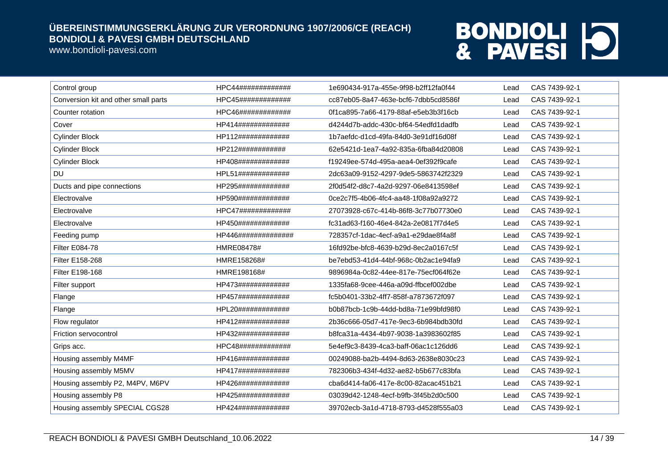www.bondioli-pavesi.com

| Control group                        | HPC44#############  | 1e690434-917a-455e-9f98-b2ff12fa0f44 | Lead | CAS 7439-92-1 |
|--------------------------------------|---------------------|--------------------------------------|------|---------------|
| Conversion kit and other small parts | HPC45#############  | cc87eb05-8a47-463e-bcf6-7dbb5cd8586f | Lead | CAS 7439-92-1 |
| Counter rotation                     | HPC46#############  | 0f1ca895-7a66-4179-88af-e5eb3b3f16cb | Lead | CAS 7439-92-1 |
| Cover                                | HP414#############  | d4244d7b-addc-430c-bf64-54edfd1dadfb | Lead | CAS 7439-92-1 |
| <b>Cylinder Block</b>                | HP112#############  | 1b7aefdc-d1cd-49fa-84d0-3e91df16d08f | Lead | CAS 7439-92-1 |
| <b>Cylinder Block</b>                | HP212############   | 62e5421d-1ea7-4a92-835a-6fba84d20808 | Lead | CAS 7439-92-1 |
| <b>Cylinder Block</b>                | HP408#############  | f19249ee-574d-495a-aea4-0ef392f9cafe | Lead | CAS 7439-92-1 |
| <b>DU</b>                            | HPL51#############  | 2dc63a09-9152-4297-9de5-5863742f2329 | Lead | CAS 7439-92-1 |
| Ducts and pipe connections           | HP295#############  | 2f0d54f2-d8c7-4a2d-9297-06e8413598ef | Lead | CAS 7439-92-1 |
| Electrovalve                         | HP590#############  | 0ce2c7f5-4b06-4fc4-aa48-1f08a92a9272 | Lead | CAS 7439-92-1 |
| Electrovalve                         | HPC47#############  | 27073928-c67c-414b-86f8-3c77b07730e0 | Lead | CAS 7439-92-1 |
| Electrovalve                         | HP450#############  | fc31ad63-f160-46e4-842a-2e0817f7d4e5 | Lead | CAS 7439-92-1 |
| Feeding pump                         | HP446############## | 728357cf-1dac-4ecf-a9a1-e29dae8f4a8f | Lead | CAS 7439-92-1 |
| Filter E084-78                       | HMRE08478#          | 16fd92be-bfc8-4639-b29d-8ec2a0167c5f | Lead | CAS 7439-92-1 |
| Filter E158-268                      | HMRE158268#         | be7ebd53-41d4-44bf-968c-0b2ac1e94fa9 | Lead | CAS 7439-92-1 |
| Filter E198-168                      | HMRE198168#         | 9896984a-0c82-44ee-817e-75ecf064f62e | Lead | CAS 7439-92-1 |
| Filter support                       | HP473#############  | 1335fa68-9cee-446a-a09d-ffbcef002dbe | Lead | CAS 7439-92-1 |
| Flange                               | HP457#############  | fc5b0401-33b2-4ff7-858f-a7873672f097 | Lead | CAS 7439-92-1 |
| Flange                               | HPL20#############  | b0b87bcb-1c9b-44dd-bd8a-71e99bfd98f0 | Lead | CAS 7439-92-1 |
| Flow regulator                       | HP412#############  | 2b36c666-05d7-417e-9ec3-6b984bdb30fd | Lead | CAS 7439-92-1 |
| Friction servocontrol                | HP432#############  | b8fca31a-4434-4b97-9038-1a3983602f85 | Lead | CAS 7439-92-1 |
| Grips acc.                           | HPC48#############  | 5e4ef9c3-8439-4ca3-baff-06ac1c126dd6 | Lead | CAS 7439-92-1 |
| Housing assembly M4MF                | HP416#############  | 00249088-ba2b-4494-8d63-2638e8030c23 | Lead | CAS 7439-92-1 |
| Housing assembly M5MV                | HP417#############  | 782306b3-434f-4d32-ae82-b5b677c83bfa | Lead | CAS 7439-92-1 |
| Housing assembly P2, M4PV, M6PV      | HP426#############  | cba6d414-fa06-417e-8c00-82acac451b21 | Lead | CAS 7439-92-1 |
| Housing assembly P8                  | HP425#############  | 03039d42-1248-4ecf-b9fb-3f45b2d0c500 | Lead | CAS 7439-92-1 |
| Housing assembly SPECIAL CGS28       | HP424#############  | 39702ecb-3a1d-4718-8793-d4528f555a03 | Lead | CAS 7439-92-1 |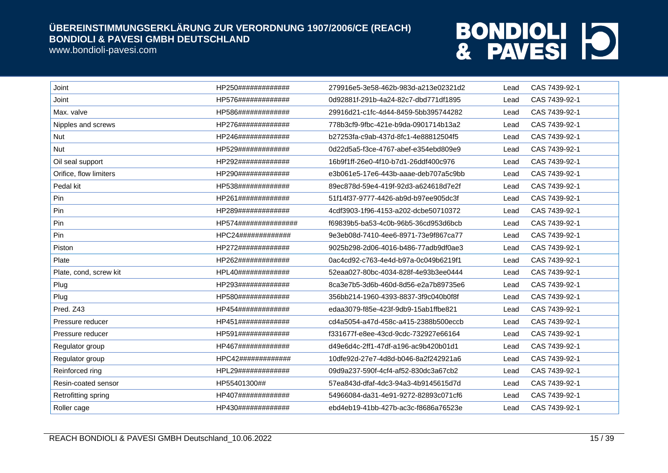www.bondioli-pavesi.com

| Joint                  | HP250#############   | 279916e5-3e58-462b-983d-a213e02321d2 | Lead | CAS 7439-92-1 |
|------------------------|----------------------|--------------------------------------|------|---------------|
| Joint                  | HP576#############   | 0d92881f-291b-4a24-82c7-dbd771df1895 | Lead | CAS 7439-92-1 |
| Max. valve             | HP586#############   | 29916d21-c1fc-4d44-8459-5bb395744282 | Lead | CAS 7439-92-1 |
| Nipples and screws     | HP276#############   | 778b3cf9-9fbc-421e-b9da-0901714b13a2 | Lead | CAS 7439-92-1 |
| Nut                    | HP246#############   | b27253fa-c9ab-437d-8fc1-4e88812504f5 | Lead | CAS 7439-92-1 |
| <b>Nut</b>             | HP529#############   | 0d22d5a5-f3ce-4767-abef-e354ebd809e9 | Lead | CAS 7439-92-1 |
| Oil seal support       | HP292#############   | 16b9f1ff-26e0-4f10-b7d1-26ddf400c976 | Lead | CAS 7439-92-1 |
| Orifice, flow limiters | HP290#############   | e3b061e5-17e6-443b-aaae-deb707a5c9bb | Lead | CAS 7439-92-1 |
| Pedal kit              | HP538#############   | 89ec878d-59e4-419f-92d3-a624618d7e2f | Lead | CAS 7439-92-1 |
| Pin                    | HP261#############   | 51f14f37-9777-4426-ab9d-b97ee905dc3f | Lead | CAS 7439-92-1 |
| Pin                    | HP289#############   | 4cdf3903-1f96-4153-a202-dcbe50710372 | Lead | CAS 7439-92-1 |
| Pin                    | HP574############### | f69839b5-ba53-4c0b-96b5-36cd953d6bcb | Lead | CAS 7439-92-1 |
| Pin                    | HPC24#############   | 9e3eb08d-7410-4ee6-8971-73e9f867ca77 | Lead | CAS 7439-92-1 |
| Piston                 | HP272#############   | 9025b298-2d06-4016-b486-77adb9df0ae3 | Lead | CAS 7439-92-1 |
| Plate                  | HP262#############   | 0ac4cd92-c763-4e4d-b97a-0c049b6219f1 | Lead | CAS 7439-92-1 |
| Plate, cond, screw kit | HPL40#############   | 52eaa027-80bc-4034-828f-4e93b3ee0444 | Lead | CAS 7439-92-1 |
| Plug                   | HP293#############   | 8ca3e7b5-3d6b-460d-8d56-e2a7b89735e6 | Lead | CAS 7439-92-1 |
| Plug                   | HP580#############   | 356bb214-1960-4393-8837-3f9c040b0f8f | Lead | CAS 7439-92-1 |
| Pred. Z43              | HP454#############   | edaa3079-f85e-423f-9db9-15ab1ffbe821 | Lead | CAS 7439-92-1 |
| Pressure reducer       | HP451#############   | cd4a5054-a47d-458c-a415-2388b500eccb | Lead | CAS 7439-92-1 |
| Pressure reducer       | HP591#############   | f331677f-e8ee-43cd-9cdc-732927e66164 | Lead | CAS 7439-92-1 |
| Regulator group        | HP467#############   | d49e6d4c-2ff1-47df-a196-ac9b420b01d1 | Lead | CAS 7439-92-1 |
| Regulator group        | HPC42#############   | 10dfe92d-27e7-4d8d-b046-8a2f242921a6 | Lead | CAS 7439-92-1 |
| Reinforced ring        | HPL29#############   | 09d9a237-590f-4cf4-af52-830dc3a67cb2 | Lead | CAS 7439-92-1 |
| Resin-coated sensor    | HP55401300##         | 57ea843d-dfaf-4dc3-94a3-4b9145615d7d | Lead | CAS 7439-92-1 |
| Retrofitting spring    | HP407#############   | 54966084-da31-4e91-9272-82893c071cf6 | Lead | CAS 7439-92-1 |
| Roller cage            | HP430#############   | ebd4eb19-41bb-427b-ac3c-f8686a76523e | Lead | CAS 7439-92-1 |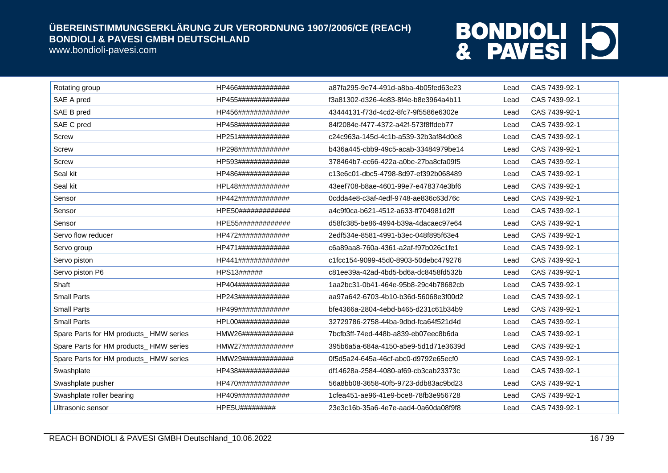www.bondioli-pavesi.com

| Rotating group                         | HP466############# | a87fa295-9e74-491d-a8ba-4b05fed63e23 | Lead | CAS 7439-92-1 |
|----------------------------------------|--------------------|--------------------------------------|------|---------------|
| SAE A pred                             | HP455############# | f3a81302-d326-4e83-8f4e-b8e3964a4b11 | Lead | CAS 7439-92-1 |
| SAE B pred                             | HP456############# | 43444131-f73d-4cd2-8fc7-9f5586e6302e | Lead | CAS 7439-92-1 |
| SAE C pred                             | HP458############# | 84f2084e-f477-4372-a42f-573f8ffdeb77 | Lead | CAS 7439-92-1 |
| <b>Screw</b>                           | HP251############# | c24c963a-145d-4c1b-a539-32b3af84d0e8 | Lead | CAS 7439-92-1 |
| <b>Screw</b>                           | HP298############# | b436a445-cbb9-49c5-acab-33484979be14 | Lead | CAS 7439-92-1 |
| <b>Screw</b>                           | HP593############# | 378464b7-ec66-422a-a0be-27ba8cfa09f5 | Lead | CAS 7439-92-1 |
| Seal kit                               | HP486############# | c13e6c01-dbc5-4798-8d97-ef392b068489 | Lead | CAS 7439-92-1 |
| Seal kit                               | HPL48############# | 43eef708-b8ae-4601-99e7-e478374e3bf6 | Lead | CAS 7439-92-1 |
| Sensor                                 | HP442############# | 0cdda4e8-c3af-4edf-9748-ae836c63d76c | Lead | CAS 7439-92-1 |
| Sensor                                 | HPE50############# | a4c9f0ca-b621-4512-a633-ff704981d2ff | Lead | CAS 7439-92-1 |
| Sensor                                 | HPE55############# | d58fc385-be86-4994-b39a-4dacaec97e64 | Lead | CAS 7439-92-1 |
| Servo flow reducer                     | HP472############# | 2edf534e-8581-4991-b3ec-048f895f63e4 | Lead | CAS 7439-92-1 |
| Servo group                            | HP471############# | c6a89aa8-760a-4361-a2af-f97b026c1fe1 | Lead | CAS 7439-92-1 |
| Servo piston                           | HP441############# | c1fcc154-9099-45d0-8903-50debc479276 | Lead | CAS 7439-92-1 |
| Servo piston P6                        | HPS13######        | c81ee39a-42ad-4bd5-bd6a-dc8458fd532b | Lead | CAS 7439-92-1 |
| Shaft                                  | HP404############# | 1aa2bc31-0b41-464e-95b8-29c4b78682cb | Lead | CAS 7439-92-1 |
| <b>Small Parts</b>                     | HP243############# | aa97a642-6703-4b10-b36d-56068e3f00d2 | Lead | CAS 7439-92-1 |
| <b>Small Parts</b>                     | HP499############# | bfe4366a-2804-4ebd-b465-d231c61b34b9 | Lead | CAS 7439-92-1 |
| <b>Small Parts</b>                     | HPL00############# | 32729786-2758-44ba-9dbd-fca64f521d4d | Lead | CAS 7439-92-1 |
| Spare Parts for HM products_HMW series | HMW26############# | 7bcfb3ff-74ed-448b-a839-eb07eec8b6da | Lead | CAS 7439-92-1 |
| Spare Parts for HM products_HMW series | HMW27############# | 395b6a5a-684a-4150-a5e9-5d1d71e3639d | Lead | CAS 7439-92-1 |
| Spare Parts for HM products_HMW series | HMW29############# | 0f5d5a24-645a-46cf-abc0-d9792e65ecf0 | Lead | CAS 7439-92-1 |
| Swashplate                             | HP438############# | df14628a-2584-4080-af69-cb3cab23373c | Lead | CAS 7439-92-1 |
| Swashplate pusher                      | HP470############# | 56a8bb08-3658-40f5-9723-ddb83ac9bd23 | Lead | CAS 7439-92-1 |
| Swashplate roller bearing              | HP409############# | 1cfea451-ae96-41e9-bce8-78fb3e956728 | Lead | CAS 7439-92-1 |
| Ultrasonic sensor                      | HPE5U#########     | 23e3c16b-35a6-4e7e-aad4-0a60da08f9f8 | Lead | CAS 7439-92-1 |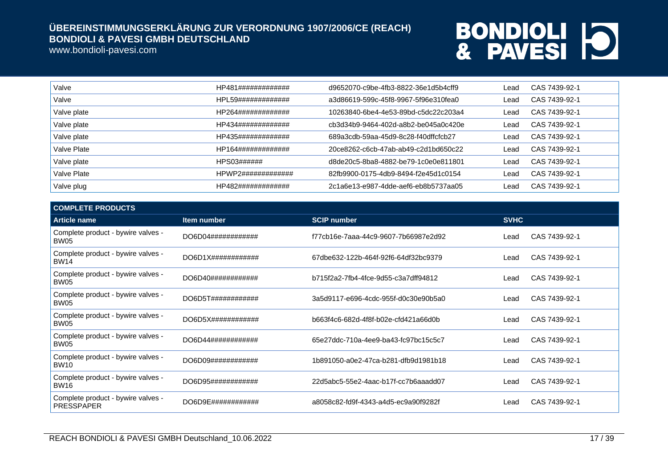### www.bondioli-pavesi.com

| Valve       | HP481#############             | d9652070-c9be-4fb3-8822-36e1d5b4cff9 | Lead | CAS 7439-92-1 |
|-------------|--------------------------------|--------------------------------------|------|---------------|
| Valve       | HPL59#############             | a3d86619-599c-45f8-9967-5f96e310fea0 | Lead | CAS 7439-92-1 |
| Valve plate | HP264#############             | 10263840-6be4-4e53-89bd-c5dc22c203a4 | Lead | CAS 7439-92-1 |
| Valve plate | HP434#############             | cb3d34b9-9464-402d-a8b2-be045a0c420e | Lead | CAS 7439-92-1 |
| Valve plate | HP435#############             | 689a3cdb-59aa-45d9-8c28-f40dffcfcb27 | Lead | CAS 7439-92-1 |
| Valve Plate | HP164#############             | 20ce8262-c6cb-47ab-ab49-c2d1bd650c22 | ∟ead | CAS 7439-92-1 |
| Valve plate | HPS03######                    | d8de20c5-8ba8-4882-be79-1c0e0e811801 | Lead | CAS 7439-92-1 |
| Valve Plate | $HPWP2\#4\#4\#4\#4\#4\#4\#4\#$ | 82fb9900-0175-4db9-8494-f2e45d1c0154 | Lead | CAS 7439-92-1 |
| Valve plug  | HP482#############             | 2c1a6e13-e987-4dde-aef6-eb8b5737aa05 | Lead | CAS 7439-92-1 |

| <b>COMPLETE PRODUCTS</b>                                |                               |                                      |             |               |  |
|---------------------------------------------------------|-------------------------------|--------------------------------------|-------------|---------------|--|
| Article name                                            | Item number                   | <b>SCIP number</b>                   | <b>SVHC</b> |               |  |
| Complete product - bywire valves -<br><b>BW05</b>       | DO6D04############            | f77cb16e-7aaa-44c9-9607-7b66987e2d92 | Lead        | CAS 7439-92-1 |  |
| Complete product - bywire valves -<br><b>BW14</b>       | $DO6D1X\#4\#4\#4\#4\#4\#4\#4$ | 67dbe632-122b-464f-92f6-64df32bc9379 | Lead        | CAS 7439-92-1 |  |
| Complete product - bywire valves -<br><b>BW05</b>       | DO6D40############            | b715f2a2-7fb4-4fce-9d55-c3a7dff94812 | Lead        | CAS 7439-92-1 |  |
| Complete product - bywire valves -<br><b>BW05</b>       | DO6D5T############            | 3a5d9117-e696-4cdc-955f-d0c30e90b5a0 | Lead        | CAS 7439-92-1 |  |
| Complete product - bywire valves -<br><b>BW05</b>       | $DO6D5X\#4\#4\#4\#4\#4\#4\#4$ | b663f4c6-682d-4f8f-b02e-cfd421a66d0b | Lead        | CAS 7439-92-1 |  |
| Complete product - bywire valves -<br><b>BW05</b>       | DO6D44############            | 65e27ddc-710a-4ee9-ba43-fc97bc15c5c7 | Lead        | CAS 7439-92-1 |  |
| Complete product - bywire valves -<br><b>BW10</b>       | DO6D09#############           | 1b891050-a0e2-47ca-b281-dfb9d1981b18 | Lead        | CAS 7439-92-1 |  |
| Complete product - bywire valves -<br><b>BW16</b>       | DO6D95############            | 22d5abc5-55e2-4aac-b17f-cc7b6aaadd07 | Lead        | CAS 7439-92-1 |  |
| Complete product - bywire valves -<br><b>PRESSPAPER</b> | DO6D9E############            | a8058c82-fd9f-4343-a4d5-ec9a90f9282f | Lead        | CAS 7439-92-1 |  |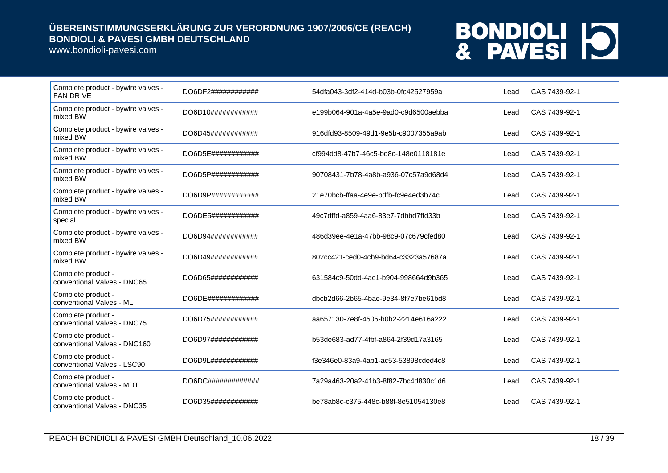www.bondioli-pavesi.com

| Complete product - bywire valves -<br><b>FAN DRIVE</b> | DO6DF2############  | 54dfa043-3df2-414d-b03b-0fc42527959a | Lead | CAS 7439-92-1 |
|--------------------------------------------------------|---------------------|--------------------------------------|------|---------------|
| Complete product - bywire valves -<br>mixed BW         | DO6D10############  | e199b064-901a-4a5e-9ad0-c9d6500aebba | Lead | CAS 7439-92-1 |
| Complete product - bywire valves -<br>mixed BW         | DO6D45############  | 916dfd93-8509-49d1-9e5b-c9007355a9ab | Lead | CAS 7439-92-1 |
| Complete product - bywire valves -<br>mixed BW         | DO6D5E############  | cf994dd8-47b7-46c5-bd8c-148e0118181e | Lead | CAS 7439-92-1 |
| Complete product - bywire valves -<br>mixed BW         | DO6D5P############  | 90708431-7b78-4a8b-a936-07c57a9d68d4 | Lead | CAS 7439-92-1 |
| Complete product - bywire valves -<br>mixed BW         | DO6D9P############# | 21e70bcb-ffaa-4e9e-bdfb-fc9e4ed3b74c | Lead | CAS 7439-92-1 |
| Complete product - bywire valves -<br>special          | DO6DE5############  | 49c7dffd-a859-4aa6-83e7-7dbbd7ffd33b | Lead | CAS 7439-92-1 |
| Complete product - bywire valves -<br>mixed BW         | DO6D94############  | 486d39ee-4e1a-47bb-98c9-07c679cfed80 | Lead | CAS 7439-92-1 |
| Complete product - bywire valves -<br>mixed BW         | DO6D49############  | 802cc421-ced0-4cb9-bd64-c3323a57687a | Lead | CAS 7439-92-1 |
| Complete product -<br>conventional Valves - DNC65      | DO6D65############  | 631584c9-50dd-4ac1-b904-998664d9b365 | Lead | CAS 7439-92-1 |
| Complete product -<br>conventional Valves - ML         | DO6DE#############  | dbcb2d66-2b65-4bae-9e34-8f7e7be61bd8 | Lead | CAS 7439-92-1 |
| Complete product -<br>conventional Valves - DNC75      | DO6D75############  | aa657130-7e8f-4505-b0b2-2214e616a222 | Lead | CAS 7439-92-1 |
| Complete product -<br>conventional Valves - DNC160     | DO6D97############  | b53de683-ad77-4fbf-a864-2f39d17a3165 | Lead | CAS 7439-92-1 |
| Complete product -<br>conventional Valves - LSC90      | DO6D9L############  | f3e346e0-83a9-4ab1-ac53-53898cded4c8 | Lead | CAS 7439-92-1 |
| Complete product -<br>conventional Valves - MDT        | DO6DC#############  | 7a29a463-20a2-41b3-8f82-7bc4d830c1d6 | Lead | CAS 7439-92-1 |
| Complete product -<br>conventional Valves - DNC35      | DO6D35############  | be78ab8c-c375-448c-b88f-8e51054130e8 | Lead | CAS 7439-92-1 |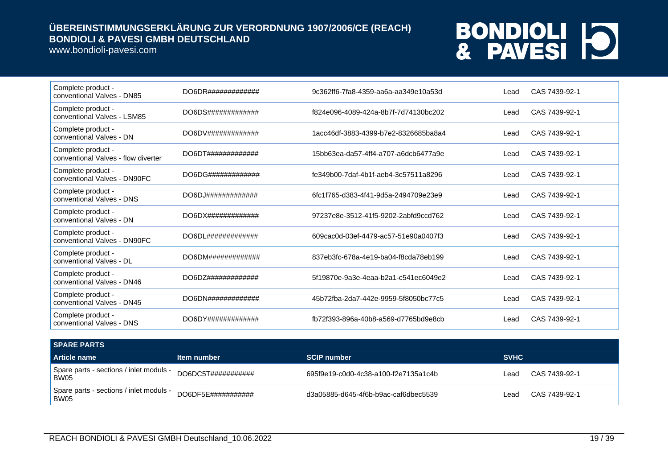www.bondioli-pavesi.com

| Complete product -<br>conventional Valves - DN85          | DO6DR#############               | 9c362ff6-7fa8-4359-aa6a-aa349e10a53d | Lead | CAS 7439-92-1 |
|-----------------------------------------------------------|----------------------------------|--------------------------------------|------|---------------|
| Complete product -<br>conventional Valves - LSM85         | DO6DS#############               | f824e096-4089-424a-8b7f-7d74130bc202 | Lead | CAS 7439-92-1 |
| Complete product -<br>conventional Valves - DN            |                                  | 1acc46df-3883-4399-b7e2-8326685ba8a4 | Lead | CAS 7439-92-1 |
| Complete product -<br>conventional Valves - flow diverter |                                  | 15bb63ea-da57-4ff4-a707-a6dcb6477a9e | Lead | CAS 7439-92-1 |
| Complete product -<br>conventional Valves - DN90FC        | DO6DG#############               | fe349b00-7daf-4b1f-aeb4-3c57511a8296 | Lead | CAS 7439-92-1 |
| Complete product -<br>conventional Valves - DNS           | DO6DJ#############               | 6fc1f765-d383-4f41-9d5a-2494709e23e9 | Lead | CAS 7439-92-1 |
| Complete product -<br>conventional Valves - DN            | DO6DX#############               | 97237e8e-3512-41f5-9202-2abfd9ccd762 | Lead | CAS 7439-92-1 |
| Complete product -<br>conventional Valves - DN90FC        | DO6DL##############              | 609cac0d-03ef-4479-ac57-51e90a0407f3 | Lead | CAS 7439-92-1 |
| Complete product -<br>conventional Valves - DL            | DO6DM# # # # # # # # # # # # # # | 837eb3fc-678a-4e19-ba04-f8cda78eb199 | Lead | CAS 7439-92-1 |
| Complete product -<br>conventional Valves - DN46          | $DO6DZ$ ##############           | 5f19870e-9a3e-4eaa-b2a1-c541ec6049e2 | Lead | CAS 7439-92-1 |
| Complete product -<br>conventional Valves - DN45          | DO6DN#############               | 45b72fba-2da7-442e-9959-5f8050bc77c5 | Lead | CAS 7439-92-1 |
| Complete product -<br>conventional Valves - DNS           |                                  | fb72f393-896a-40b8-a569-d7765bd9e8cb | Lead | CAS 7439-92-1 |

| <b>SPARE PARTS</b>                              |                    |                                      |             |               |  |
|-------------------------------------------------|--------------------|--------------------------------------|-------------|---------------|--|
| Article name                                    | Item number        | <b>SCIP number</b>                   | <b>SVHC</b> |               |  |
| Spare parts - sections / inlet moduls -<br>BW05 | DO6DC5T########### | 695f9e19-c0d0-4c38-a100-f2e7135a1c4b | Lead        | CAS 7439-92-1 |  |
| Spare parts - sections / inlet moduls -<br>BW05 | DO6DF5E########### | d3a05885-d645-4f6b-b9ac-caf6dbec5539 | ∟ead        | CAS 7439-92-1 |  |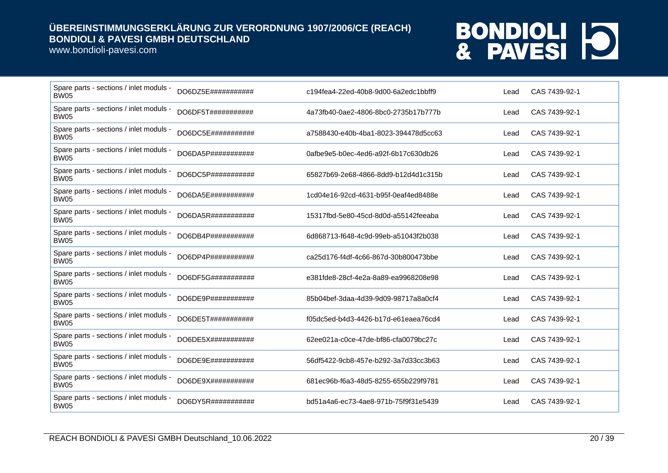www.bondioli-pavesi.com

| Spare parts - sections / inlet moduls -<br><b>BW05</b> | DO6DZ5E###########     | c194fea4-22ed-40b8-9d00-6a2edc1bbff9 | Lead | CAS 7439-92-1 |
|--------------------------------------------------------|------------------------|--------------------------------------|------|---------------|
| Spare parts - sections / inlet moduls -<br><b>BW05</b> | DO6DF5T###########     | 4a73fb40-0ae2-4806-8bc0-2735b17b777b | Lead | CAS 7439-92-1 |
| Spare parts - sections / inlet moduls -<br><b>BW05</b> | DO6DC5E###########     | a7588430-e40b-4ba1-8023-394478d5cc63 | Lead | CAS 7439-92-1 |
| Spare parts - sections / inlet moduls -<br><b>BW05</b> | DO6DA5P###########     | 0afbe9e5-b0ec-4ed6-a92f-6b17c630db26 | Lead | CAS 7439-92-1 |
| Spare parts - sections / inlet moduls -<br><b>BW05</b> | DO6DC5P###########     | 65827b69-2e68-4866-8dd9-b12d4d1c315b | Lead | CAS 7439-92-1 |
| Spare parts - sections / inlet moduls -<br><b>BW05</b> | DO6DA5E###########     | 1cd04e16-92cd-4631-b95f-0eaf4ed8488e | Lead | CAS 7439-92-1 |
| Spare parts - sections / inlet moduls -<br><b>BW05</b> | DO6DA5R###########     | 15317fbd-5e80-45cd-8d0d-a55142feeaba | Lead | CAS 7439-92-1 |
| Spare parts - sections / inlet moduls -<br><b>BW05</b> | DO6DB4P###########     | 6d868713-f648-4c9d-99eb-a51043f2b038 | Lead | CAS 7439-92-1 |
| Spare parts - sections / inlet moduls -<br><b>BW05</b> | DO6DP4P###########     | ca25d176-f4df-4c66-867d-30b800473bbe | Lead | CAS 7439-92-1 |
| Spare parts - sections / inlet moduls -<br><b>BW05</b> | DO6DF5G###########     | e381fde8-28cf-4e2a-8a89-ea9968208e98 | Lead | CAS 7439-92-1 |
| Spare parts - sections / inlet moduls -<br><b>BW05</b> | DO6DE9P############    | 85b04bef-3daa-4d39-9d09-98717a8a0cf4 | Lead | CAS 7439-92-1 |
| Spare parts - sections / inlet moduls -<br><b>BW05</b> | DO6DE5T###########     | f05dc5ed-b4d3-4426-b17d-e61eaea76cd4 | Lead | CAS 7439-92-1 |
| Spare parts - sections / inlet moduls -<br><b>BW05</b> | DO6DE5X###########     | 62ee021a-c0ce-47de-bf86-cfa0079bc27c | Lead | CAS 7439-92-1 |
| Spare parts - sections / inlet moduls -<br><b>BW05</b> | DO6DE9E###########     | 56df5422-9cb8-457e-b292-3a7d33cc3b63 | Lead | CAS 7439-92-1 |
| Spare parts - sections / inlet moduls -<br><b>BW05</b> | $DO6DE9X$ ############ | 681ec96b-f6a3-48d5-8255-655b229f9781 | Lead | CAS 7439-92-1 |
| Spare parts - sections / inlet moduls -<br><b>BW05</b> | DO6DY5R###########     | bd51a4a6-ec73-4ae8-971b-75f9f31e5439 | Lead | CAS 7439-92-1 |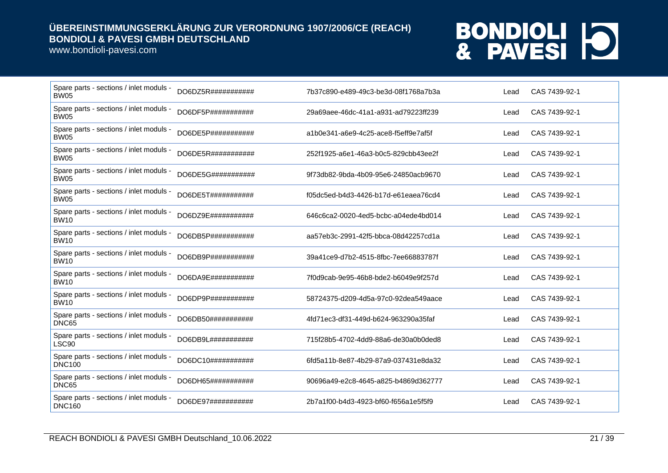www.bondioli-pavesi.com

| Spare parts - sections / inlet moduls -<br><b>BW05</b>   | DO6DZ5R########### | 7b37c890-e489-49c3-be3d-08f1768a7b3a | Lead | CAS 7439-92-1 |
|----------------------------------------------------------|--------------------|--------------------------------------|------|---------------|
| Spare parts - sections / inlet moduls -<br><b>BW05</b>   | DO6DF5P########### | 29a69aee-46dc-41a1-a931-ad79223ff239 | Lead | CAS 7439-92-1 |
| Spare parts - sections / inlet moduls -<br><b>BW05</b>   | DO6DE5P########### | a1b0e341-a6e9-4c25-ace8-f5eff9e7af5f | Lead | CAS 7439-92-1 |
| Spare parts - sections / inlet moduls -<br><b>BW05</b>   | DO6DE5R########### | 252f1925-a6e1-46a3-b0c5-829cbb43ee2f | Lead | CAS 7439-92-1 |
| Spare parts - sections / inlet moduls -<br><b>BW05</b>   | DO6DE5G########### | 9f73db82-9bda-4b09-95e6-24850acb9670 | Lead | CAS 7439-92-1 |
| Spare parts - sections / inlet moduls -<br><b>BW05</b>   | DO6DE5T########### | f05dc5ed-b4d3-4426-b17d-e61eaea76cd4 | Lead | CAS 7439-92-1 |
| Spare parts - sections / inlet moduls -<br><b>BW10</b>   | DO6DZ9E########### | 646c6ca2-0020-4ed5-bcbc-a04ede4bd014 | Lead | CAS 7439-92-1 |
| Spare parts - sections / inlet moduls -<br><b>BW10</b>   | DO6DB5P########### | aa57eb3c-2991-42f5-bbca-08d42257cd1a | Lead | CAS 7439-92-1 |
| Spare parts - sections / inlet moduls -<br><b>BW10</b>   | DO6DB9P########### | 39a41ce9-d7b2-4515-8fbc-7ee66883787f | Lead | CAS 7439-92-1 |
| Spare parts - sections / inlet moduls -<br><b>BW10</b>   | DO6DA9E########### | 7f0d9cab-9e95-46b8-bde2-b6049e9f257d | Lead | CAS 7439-92-1 |
| Spare parts - sections / inlet moduls -<br><b>BW10</b>   | DO6DP9P########### | 58724375-d209-4d5a-97c0-92dea549aace | Lead | CAS 7439-92-1 |
| Spare parts - sections / inlet moduls -<br>DNC65         | DO6DB50########### | 4fd71ec3-df31-449d-b624-963290a35faf | Lead | CAS 7439-92-1 |
| Spare parts - sections / inlet moduls -<br>LSC90         | DO6DB9L########### | 715f28b5-4702-4dd9-88a6-de30a0b0ded8 | Lead | CAS 7439-92-1 |
| Spare parts - sections / inlet moduls -<br><b>DNC100</b> | DO6DC10########### | 6fd5a11b-8e87-4b29-87a9-037431e8da32 | Lead | CAS 7439-92-1 |
| Spare parts - sections / inlet moduls -<br>DNC65         | DO6DH65########### | 90696a49-e2c8-4645-a825-b4869d362777 | Lead | CAS 7439-92-1 |
| Spare parts - sections / inlet moduls -<br><b>DNC160</b> | DO6DE97########### | 2b7a1f00-b4d3-4923-bf60-f656a1e5f5f9 | Lead | CAS 7439-92-1 |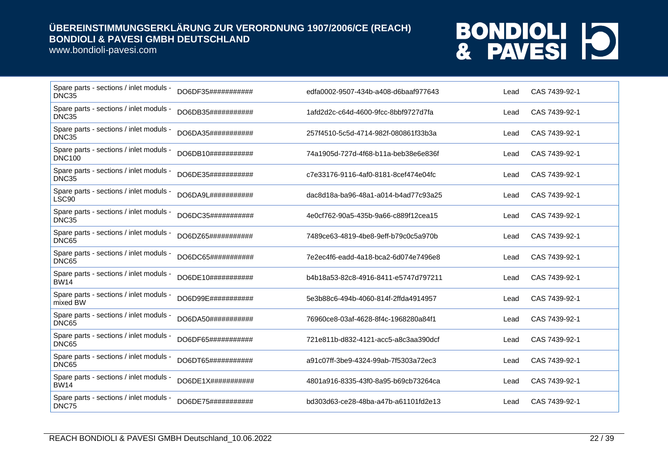www.bondioli-pavesi.com

| Spare parts - sections / inlet moduls -<br>DNC35         | DO6DF35###########          | edfa0002-9507-434b-a408-d6baaf977643 | Lead | CAS 7439-92-1 |
|----------------------------------------------------------|-----------------------------|--------------------------------------|------|---------------|
| Spare parts - sections / inlet moduls -<br>DNC35         | DO6DB35###########          | 1afd2d2c-c64d-4600-9fcc-8bbf9727d7fa | Lead | CAS 7439-92-1 |
| Spare parts - sections / inlet moduls -<br>DNC35         | DO6DA35###########          | 257f4510-5c5d-4714-982f-080861f33b3a | Lead | CAS 7439-92-1 |
| Spare parts - sections / inlet moduls -<br><b>DNC100</b> | DO6DB10############         | 74a1905d-727d-4f68-b11a-beb38e6e836f | Lead | CAS 7439-92-1 |
| Spare parts - sections / inlet moduls -<br>DNC35         | DO6DE35###########          | c7e33176-9116-4af0-8181-8cef474e04fc | Lead | CAS 7439-92-1 |
| Spare parts - sections / inlet moduls -<br>LSC90         | DO6DA9L###########          | dac8d18a-ba96-48a1-a014-b4ad77c93a25 | Lead | CAS 7439-92-1 |
| Spare parts - sections / inlet moduls -<br>DNC35         | DO6DC35###########          | 4e0cf762-90a5-435b-9a66-c889f12cea15 | Lead | CAS 7439-92-1 |
| Spare parts - sections / inlet moduls -<br>DNC65         | DO6DZ65###########          | 7489ce63-4819-4be8-9eff-b79c0c5a970b | Lead | CAS 7439-92-1 |
| Spare parts - sections / inlet moduls -<br>DNC65         | DO6DC65###########          | 7e2ec4f6-eadd-4a18-bca2-6d074e7496e8 | Lead | CAS 7439-92-1 |
| Spare parts - sections / inlet moduls -<br><b>BW14</b>   | DO6DE10############         | b4b18a53-82c8-4916-8411-e5747d797211 | Lead | CAS 7439-92-1 |
| Spare parts - sections / inlet moduls -<br>mixed BW      | DO6D99E###########          | 5e3b88c6-494b-4060-814f-2ffda4914957 | Lead | CAS 7439-92-1 |
| Spare parts - sections / inlet moduls -<br>DNC65         | DO6DA50############         | 76960ce8-03af-4628-8f4c-1968280a84f1 | Lead | CAS 7439-92-1 |
| Spare parts - sections / inlet moduls -<br>DNC65         | DO6DF65###########          | 721e811b-d832-4121-acc5-a8c3aa390dcf | Lead | CAS 7439-92-1 |
| Spare parts - sections / inlet moduls -<br>DNC65         | DO6DT65###########          | a91c07ff-3be9-4324-99ab-7f5303a72ec3 | Lead | CAS 7439-92-1 |
| Spare parts - sections / inlet moduls -<br><b>BW14</b>   | $DO6DE1X\#4\#4\#4\#4\#4\#4$ | 4801a916-8335-43f0-8a95-b69cb73264ca | Lead | CAS 7439-92-1 |
| Spare parts - sections / inlet moduls -<br>DNC75         | DO6DE75###########          | bd303d63-ce28-48ba-a47b-a61101fd2e13 | Lead | CAS 7439-92-1 |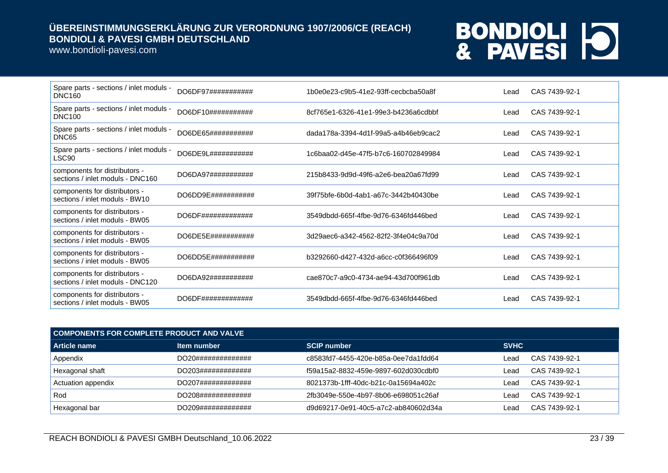www.bondioli-pavesi.com

| Spare parts - sections / inlet moduls -<br><b>DNC160</b>          | DO6DF97########### | 1b0e0e23-c9b5-41e2-93ff-cecbcba50a8f | Lead | CAS 7439-92-1 |
|-------------------------------------------------------------------|--------------------|--------------------------------------|------|---------------|
| Spare parts - sections / inlet moduls -<br><b>DNC100</b>          | DO6DF10########### | 8cf765e1-6326-41e1-99e3-b4236a6cdbbf | Lead | CAS 7439-92-1 |
| Spare parts - sections / inlet moduls -<br>DNC65                  | DO6DE65########### | dada178a-3394-4d1f-99a5-a4b46eb9cac2 | Lead | CAS 7439-92-1 |
| Spare parts - sections / inlet moduls -<br>LSC90                  | DO6DE9L########### | 1c6baa02-d45e-47f5-b7c6-160702849984 | Lead | CAS 7439-92-1 |
| components for distributors -<br>sections / inlet moduls - DNC160 | DO6DA97########### | 215b8433-9d9d-49f6-a2e6-bea20a67fd99 | Lead | CAS 7439-92-1 |
| components for distributors -<br>sections / inlet moduls - BW10   | DO6DD9E########### | 39f75bfe-6b0d-4ab1-a67c-3442b40430be | Lead | CAS 7439-92-1 |
| components for distributors -<br>sections / inlet moduls - BW05   |                    | 3549dbdd-665f-4fbe-9d76-6346fd446bed | Lead | CAS 7439-92-1 |
| components for distributors -<br>sections / inlet moduls - BW05   | DO6DE5E########### | 3d29aec6-a342-4562-82f2-3f4e04c9a70d | Lead | CAS 7439-92-1 |
| components for distributors -<br>sections / inlet moduls - BW05   | DO6DD5E########### | b3292660-d427-432d-a6cc-c0f366496f09 | Lead | CAS 7439-92-1 |
| components for distributors -<br>sections / inlet moduls - DNC120 | DO6DA92########### | cae870c7-a9c0-4734-ae94-43d700f961db | Lead | CAS 7439-92-1 |
| components for distributors -<br>sections / inlet moduls - BW05   | DO6DF############# | 3549dbdd-665f-4fbe-9d76-6346fd446bed | Lead | CAS 7439-92-1 |

| COMPONENTS FOR COMPLETE PRODUCT AND VALVE |                    |                                      |             |               |  |
|-------------------------------------------|--------------------|--------------------------------------|-------------|---------------|--|
| l Article name                            | Item number        | <b>SCIP number</b>                   | <b>SVHC</b> |               |  |
| Appendix                                  | DO20############## | c8583fd7-4455-420e-b85a-0ee7da1fdd64 | _ead        | CAS 7439-92-1 |  |
| Hexagonal shaft                           | DO203############# | f59a15a2-8832-459e-9897-602d030cdbf0 | _ead        | CAS 7439-92-1 |  |
| Actuation appendix                        | DO207############# | 8021373b-1fff-40dc-b21c-0a15694a402c | _ead        | CAS 7439-92-1 |  |
| Rod                                       | DO208############# | 2fb3049e-550e-4b97-8b06-e698051c26af | ead         | CAS 7439-92-1 |  |
| Hexagonal bar                             | DO209############# | d9d69217-0e91-40c5-a7c2-ab840602d34a | _ead        | CAS 7439-92-1 |  |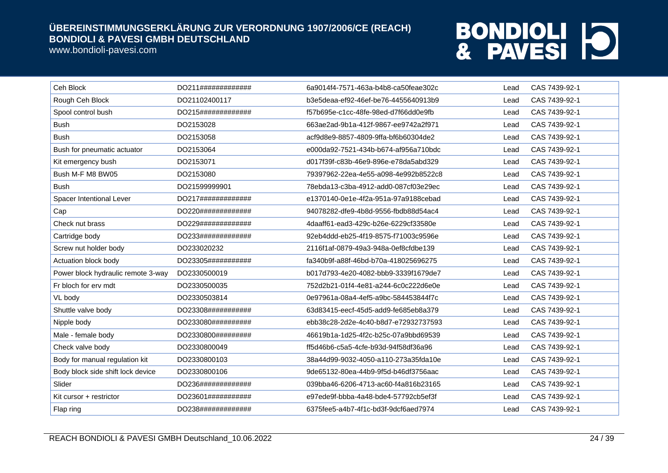www.bondioli-pavesi.com

| Ceh Block                          | DO211############# | 6a9014f4-7571-463a-b4b8-ca50feae302c | Lead | CAS 7439-92-1 |
|------------------------------------|--------------------|--------------------------------------|------|---------------|
| Rough Ceh Block                    | DO21102400117      | b3e5deaa-ef92-46ef-be76-4455640913b9 | Lead | CAS 7439-92-1 |
| Spool control bush                 | DO215############# | f57b695e-c1cc-48fe-98ed-d7f66dd0e9fb | Lead | CAS 7439-92-1 |
| <b>Bush</b>                        | DO2153028          | 663ae2ad-9b1a-412f-9867-ee9742a2f971 | Lead | CAS 7439-92-1 |
| <b>Bush</b>                        | DO2153058          | acf9d8e9-8857-4809-9ffa-bf6b60304de2 | Lead | CAS 7439-92-1 |
| Bush for pneumatic actuator        | DO2153064          | e000da92-7521-434b-b674-af956a710bdc | Lead | CAS 7439-92-1 |
| Kit emergency bush                 | DO2153071          | d017f39f-c83b-46e9-896e-e78da5abd329 | Lead | CAS 7439-92-1 |
| Bush M-F M8 BW05                   | DO2153080          | 79397962-22ea-4e55-a098-4e992b8522c8 | Lead | CAS 7439-92-1 |
| <b>Bush</b>                        | DO21599999901      | 78ebda13-c3ba-4912-add0-087cf03e29ec | Lead | CAS 7439-92-1 |
| Spacer Intentional Lever           | DO217############# | e1370140-0e1e-4f2a-951a-97a9188cebad | Lead | CAS 7439-92-1 |
| Cap                                | DO220############# | 94078282-dfe9-4b8d-9556-fbdb88d54ac4 | Lead | CAS 7439-92-1 |
| Check nut brass                    | DO229############# | 4daaff61-ead3-429c-b26e-6229cf33580e | Lead | CAS 7439-92-1 |
| Cartridge body                     | DO233############# | 92eb4ddd-eb25-4f19-8575-f71003c9596e | Lead | CAS 7439-92-1 |
| Screw nut holder body              | DO233020232        | 2116f1af-0879-49a3-948a-0ef8cfdbe139 | Lead | CAS 7439-92-1 |
| Actuation block body               | DO23305########### | fa340b9f-a88f-46bd-b70a-418025696275 | Lead | CAS 7439-92-1 |
| Power block hydraulic remote 3-way | DO2330500019       | b017d793-4e20-4082-bbb9-3339f1679de7 | Lead | CAS 7439-92-1 |
| Fr bloch for erv mdt               | DO2330500035       | 752d2b21-01f4-4e81-a244-6c0c222d6e0e | Lead | CAS 7439-92-1 |
| VL body                            | DO2330503814       | 0e97961a-08a4-4ef5-a9bc-584453844f7c | Lead | CAS 7439-92-1 |
| Shuttle valve body                 | DO23308########### | 63d83415-eecf-45d5-add9-fe685eb8a379 | Lead | CAS 7439-92-1 |
| Nipple body                        | DO233080########## | ebb38c28-2d2e-4c40-b8d7-e72932737593 | Lead | CAS 7439-92-1 |
| Male - female body                 | DO2330800######### | 46619b1a-1d25-4f2c-b25c-07a9bbd69539 | Lead | CAS 7439-92-1 |
| Check valve body                   | DO2330800049       | ff5d46b6-c5a5-4cfe-b93d-94f58df36a96 | Lead | CAS 7439-92-1 |
| Body for manual regulation kit     | DO2330800103       | 38a44d99-9032-4050-a110-273a35fda10e | Lead | CAS 7439-92-1 |
| Body block side shift lock device  | DO2330800106       | 9de65132-80ea-44b9-9f5d-b46df3756aac | Lead | CAS 7439-92-1 |
| Slider                             | DO236############# | 039bba46-6206-4713-ac60-f4a816b23165 | Lead | CAS 7439-92-1 |
| Kit cursor + restrictor            | DO23601########### | e97ede9f-bbba-4a48-bde4-57792cb5ef3f | Lead | CAS 7439-92-1 |
| Flap ring                          | DO238############# | 6375fee5-a4b7-4f1c-bd3f-9dcf6aed7974 | Lead | CAS 7439-92-1 |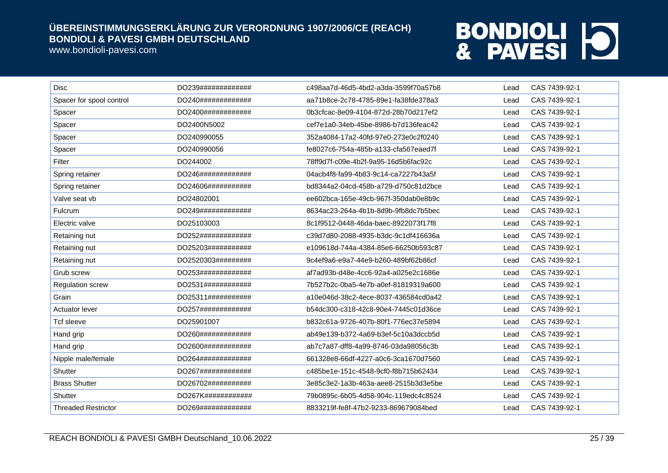www.bondioli-pavesi.com

| <b>Disc</b>                | DO239############# | c498aa7d-46d5-4bd2-a3da-3599f70a57b8 | Lead | CAS 7439-92-1 |
|----------------------------|--------------------|--------------------------------------|------|---------------|
| Spacer for spool control   | DO240############# | aa71b8ce-2c78-4785-89e1-fa38fde378a3 | Lead | CAS 7439-92-1 |
| Spacer                     | DO2400############ | 0b3cfcac-8e09-4104-872d-28b70d217ef2 | Lead | CAS 7439-92-1 |
| Spacer                     | DO2400N5002        | cef7e1a0-34eb-45be-8986-b7d136feac42 | Lead | CAS 7439-92-1 |
| Spacer                     | DO240990055        | 352a4084-17a2-40fd-97e0-273e0c2f0240 | Lead | CAS 7439-92-1 |
| Spacer                     | DO240990056        | fe8027c6-754a-485b-a133-cfa567eaed7f | Lead | CAS 7439-92-1 |
| Filter                     | DO244002           | 78ff9d7f-c09e-4b2f-9a95-16d5b6fac92c | Lead | CAS 7439-92-1 |
| Spring retainer            | DO246############# | 04acb4f8-fa99-4b83-9c14-ca7227b43a5f | Lead | CAS 7439-92-1 |
| Spring retainer            | DO24606########### | bd8344a2-04cd-458b-a729-d750c81d2bce | Lead | CAS 7439-92-1 |
| Valve seat vb              | DO24802001         | ee602bca-165e-49cb-967f-350dab0e8b9c | Lead | CAS 7439-92-1 |
| Fulcrum                    | DO249############# | 8634ac23-264a-4b1b-8d9b-9fb8dc7b5bec | Lead | CAS 7439-92-1 |
| Electric valve             | DO25103003         | 8c1f9512-0448-46da-baec-8922073f17f8 | Lead | CAS 7439-92-1 |
| Retaining nut              | DO252############# | c39d7d80-2088-4935-b3dc-9c1df416636a | Lead | CAS 7439-92-1 |
| Retaining nut              | DO25203########### | e109618d-744a-4384-85e6-66250b593c87 | Lead | CAS 7439-92-1 |
| Retaining nut              | DO2520303######### | 9c4ef9a6-e9a7-44e9-b260-489bf62b86cf | Lead | CAS 7439-92-1 |
| Grub screw                 | DO253############# | af7ad93b-d48e-4cc6-92a4-a025e2c1686e | Lead | CAS 7439-92-1 |
| Regulation screw           | DO2531############ | 7b527b2c-0ba5-4e7b-a0ef-81819319a600 | Lead | CAS 7439-92-1 |
| Grain                      | DO25311########### | a10e046d-38c2-4ece-8037-436584cd0a42 | Lead | CAS 7439-92-1 |
| Actuator lever             | DO257############# | b54dc300-c318-42c8-90e4-7445c01d36ce | Lead | CAS 7439-92-1 |
| <b>Tcf sleeve</b>          | DO25901007         | b832c61a-9726-407b-80f1-776ec37e5894 | Lead | CAS 7439-92-1 |
| Hand grip                  | DO260############# | ab49e139-b372-4a69-b3ef-5c10a3dccb5d | Lead | CAS 7439-92-1 |
| Hand grip                  | DO2600############ | ab7c7a87-dff8-4a99-8746-03da98056c3b | Lead | CAS 7439-92-1 |
| Nipple male/female         | DO264############# | 661328e8-66df-4227-a0c6-3ca1670d7560 | Lead | CAS 7439-92-1 |
| Shutter                    | DO267############# | c485be1e-151c-4548-9cf0-f8b715b62434 | Lead | CAS 7439-92-1 |
| <b>Brass Shutter</b>       | DO26702########### | 3e85c3e2-1a3b-463a-aee8-2515b3d3e5be | Lead | CAS 7439-92-1 |
| Shutter                    | DO267K############ | 79b0895c-6b05-4d58-904c-119edc4c8524 | Lead | CAS 7439-92-1 |
| <b>Threaded Restrictor</b> | DO269############# | 8833219f-fe8f-47b2-9233-869679084bed | Lead | CAS 7439-92-1 |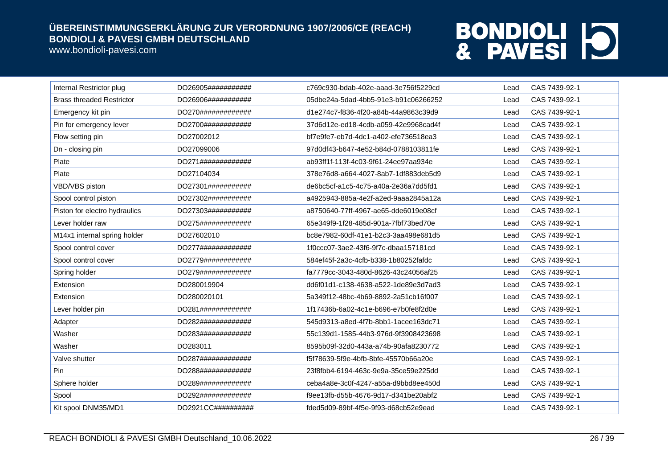www.bondioli-pavesi.com

| Internal Restrictor plug         | DO26905###########           | c769c930-bdab-402e-aaad-3e756f5229cd | Lead | CAS 7439-92-1 |
|----------------------------------|------------------------------|--------------------------------------|------|---------------|
| <b>Brass threaded Restrictor</b> | DO26906###########           | 05dbe24a-5dad-4bb5-91e3-b91c06266252 | Lead | CAS 7439-92-1 |
| Emergency kit pin                | DO270#############           | d1e274c7-f836-4f20-a84b-44a9863c39d9 | Lead | CAS 7439-92-1 |
| Pin for emergency lever          | DO2700############           | 37d6d12e-ed18-4cdb-a059-42e9968cad4f | Lead | CAS 7439-92-1 |
| Flow setting pin                 | DO27002012                   | bf7e9fe7-eb7d-4dc1-a402-efe736518ea3 | Lead | CAS 7439-92-1 |
| Dn - closing pin                 | DO27099006                   | 97d0df43-b647-4e52-b84d-0788103811fe | Lead | CAS 7439-92-1 |
| Plate                            | $DO271\#4\#4\#4\#4\#4\#4\#4$ | ab93ff1f-113f-4c03-9f61-24ee97aa934e | Lead | CAS 7439-92-1 |
| Plate                            | DO27104034                   | 378e76d8-a664-4027-8ab7-1df883deb5d9 | Lead | CAS 7439-92-1 |
| VBD/VBS piston                   | DO27301###########           | de6bc5cf-a1c5-4c75-a40a-2e36a7dd5fd1 | Lead | CAS 7439-92-1 |
| Spool control piston             | DO27302###########           | a4925943-885a-4e2f-a2ed-9aaa2845a12a | Lead | CAS 7439-92-1 |
| Piston for electro hydraulics    | DO27303###########           | a8750640-77ff-4967-ae65-dde6019e08cf | Lead | CAS 7439-92-1 |
| Lever holder raw                 | DO275#############           | 65e349f9-1f28-485d-901a-7fbf73bed70e | Lead | CAS 7439-92-1 |
| M14x1 internal spring holder     | DO27602010                   | bc8e7982-60df-41e1-b2c3-3aa498e681d5 | Lead | CAS 7439-92-1 |
| Spool control cover              | DO277#############           | 1f0ccc07-3ae2-43f6-9f7c-dbaa157181cd | Lead | CAS 7439-92-1 |
| Spool control cover              | DO2779############           | 584ef45f-2a3c-4cfb-b338-1b80252fafdc | Lead | CAS 7439-92-1 |
| Spring holder                    | DO279#############           | fa7779cc-3043-480d-8626-43c24056af25 | Lead | CAS 7439-92-1 |
| Extension                        | DO280019904                  | dd6f01d1-c138-4638-a522-1de89e3d7ad3 | Lead | CAS 7439-92-1 |
| Extension                        | DO280020101                  | 5a349f12-48bc-4b69-8892-2a51cb16f007 | Lead | CAS 7439-92-1 |
| Lever holder pin                 | DO281#############           | 1f17436b-6a02-4c1e-b696-e7b0fe8f2d0e | Lead | CAS 7439-92-1 |
| Adapter                          | DO282#############           | 545d9313-a8ed-4f7b-8bb1-1acee163dc71 | Lead | CAS 7439-92-1 |
| Washer                           | DO283#############           | 55c139d1-1585-44b3-976d-9f3908423698 | Lead | CAS 7439-92-1 |
| Washer                           | DO283011                     | 8595b09f-32d0-443a-a74b-90afa8230772 | Lead | CAS 7439-92-1 |
| Valve shutter                    | DO287#############           | f5f78639-5f9e-4bfb-8bfe-45570b66a20e | Lead | CAS 7439-92-1 |
| Pin                              | DO288#############           | 23f8fbb4-6194-463c-9e9a-35ce59e225dd | Lead | CAS 7439-92-1 |
| Sphere holder                    | DO289#############           | ceba4a8e-3c0f-4247-a55a-d9bbd8ee450d | Lead | CAS 7439-92-1 |
| Spool                            | DO292#############           | f9ee13fb-d55b-4676-9d17-d341be20abf2 | Lead | CAS 7439-92-1 |
| Kit spool DNM35/MD1              | DO2921CC###########          | fded5d09-89bf-4f5e-9f93-d68cb52e9ead | Lead | CAS 7439-92-1 |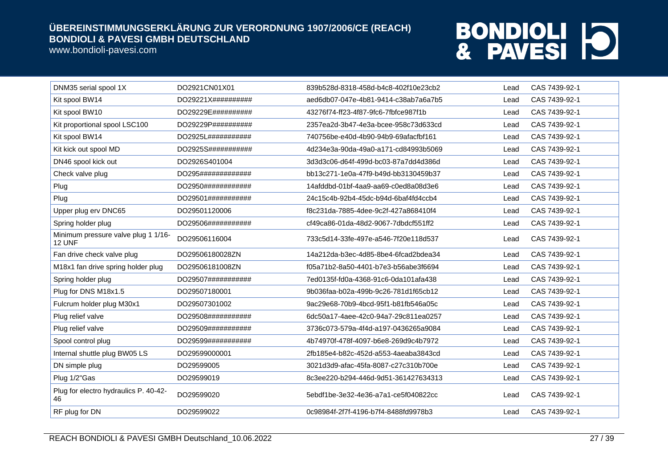www.bondioli-pavesi.com

| DNM35 serial spool 1X                                | DO2921CN01X01      | 839b528d-8318-458d-b4c8-402f10e23cb2 | Lead | CAS 7439-92-1 |
|------------------------------------------------------|--------------------|--------------------------------------|------|---------------|
| Kit spool BW14                                       | DO29221X########## | aed6db07-047e-4b81-9414-c38ab7a6a7b5 | Lead | CAS 7439-92-1 |
| Kit spool BW10                                       | DO29229E########## | 43276f74-ff23-4f87-9fc6-7fbfce987f1b | Lead | CAS 7439-92-1 |
| Kit proportional spool LSC100                        | DO29229P########## | 2357ea2d-3b47-4e3a-bcee-958c73d633cd | Lead | CAS 7439-92-1 |
| Kit spool BW14                                       | DO2925L########### | 740756be-e40d-4b90-94b9-69afacfbf161 | Lead | CAS 7439-92-1 |
| Kit kick out spool MD                                | DO2925S########### | 4d234e3a-90da-49a0-a171-cd84993b5069 | Lead | CAS 7439-92-1 |
| DN46 spool kick out                                  | DO2926S401004      | 3d3d3c06-d64f-499d-bc03-87a7dd4d386d | Lead | CAS 7439-92-1 |
| Check valve plug                                     | DO295############# | bb13c271-1e0a-47f9-b49d-bb3130459b37 | Lead | CAS 7439-92-1 |
| Plug                                                 | DO2950############ | 14afddbd-01bf-4aa9-aa69-c0ed8a08d3e6 | Lead | CAS 7439-92-1 |
| Plug                                                 | DO29501########### | 24c15c4b-92b4-45dc-b94d-6baf4fd4ccb4 | Lead | CAS 7439-92-1 |
| Upper plug erv DNC65                                 | DO29501120006      | f8c231da-7885-4dee-9c2f-427a868410f4 | Lead | CAS 7439-92-1 |
| Spring holder plug                                   | DO29506########### | cf49ca86-01da-48d2-9067-7dbdcf551ff2 | Lead | CAS 7439-92-1 |
| Minimum pressure valve plug 1 1/16-<br><b>12 UNF</b> | DO29506116004      | 733c5d14-33fe-497e-a546-7f20e118d537 | Lead | CAS 7439-92-1 |
| Fan drive check valve plug                           | DO29506180028ZN    | 14a212da-b3ec-4d85-8be4-6fcad2bdea34 | Lead | CAS 7439-92-1 |
| M18x1 fan drive spring holder plug                   | DO29506181008ZN    | f05a71b2-8a50-4401-b7e3-b56abe3f6694 | Lead | CAS 7439-92-1 |
| Spring holder plug                                   | DO29507########### | 7ed0135f-fd0a-4368-91c6-0da101afa438 | Lead | CAS 7439-92-1 |
| Plug for DNS M18x1.5                                 | DO29507180001      | 9b036faa-b02a-499b-9c26-781d1f65cb12 | Lead | CAS 7439-92-1 |
| Fulcrum holder plug M30x1                            | DO29507301002      | 9ac29e68-70b9-4bcd-95f1-b81fb546a05c | Lead | CAS 7439-92-1 |
| Plug relief valve                                    | DO29508########### | 6dc50a17-4aee-42c0-94a7-29c811ea0257 | Lead | CAS 7439-92-1 |
| Plug relief valve                                    | DO29509########### | 3736c073-579a-4f4d-a197-0436265a9084 | Lead | CAS 7439-92-1 |
| Spool control plug                                   | DO29599########### | 4b74970f-478f-4097-b6e8-269d9c4b7972 | Lead | CAS 7439-92-1 |
| Internal shuttle plug BW05 LS                        | DO29599000001      | 2fb185e4-b82c-452d-a553-4aeaba3843cd | Lead | CAS 7439-92-1 |
| DN simple plug                                       | DO29599005         | 3021d3d9-afac-45fa-8087-c27c310b700e | Lead | CAS 7439-92-1 |
| Plug 1/2"Gas                                         | DO29599019         | 8c3ee220-b294-446d-9d51-361427634313 | Lead | CAS 7439-92-1 |
| Plug for electro hydraulics P. 40-42-<br>46          | DO29599020         | 5ebdf1be-3e32-4e36-a7a1-ce5f040822cc | Lead | CAS 7439-92-1 |
| RF plug for DN                                       | DO29599022         | 0c98984f-2f7f-4196-b7f4-8488fd9978b3 | Lead | CAS 7439-92-1 |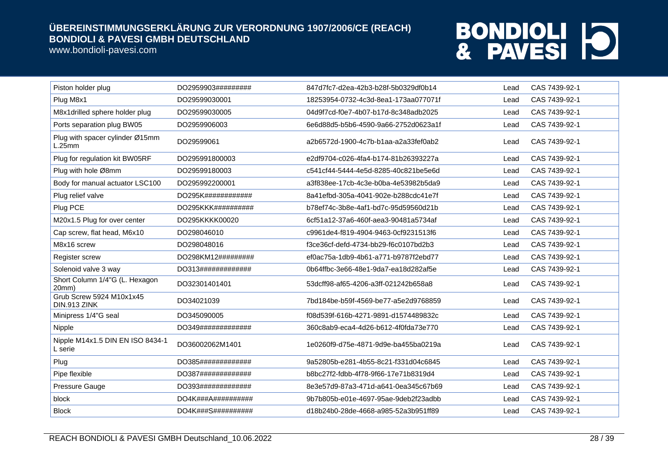www.bondioli-pavesi.com

| Piston holder plug                          | DO2959903#########  | 847d7fc7-d2ea-42b3-b28f-5b0329df0b14 | Lead | CAS 7439-92-1 |
|---------------------------------------------|---------------------|--------------------------------------|------|---------------|
| Plug M8x1                                   | DO29599030001       | 18253954-0732-4c3d-8ea1-173aa077071f | Lead | CAS 7439-92-1 |
| M8x1drilled sphere holder plug              | DO29599030005       | 04d9f7cd-f0e7-4b07-b17d-8c348adb2025 | Lead | CAS 7439-92-1 |
| Ports separation plug BW05                  | DO2959906003        | 6e6d88d5-b5b6-4590-9a66-2752d0623a1f | Lead | CAS 7439-92-1 |
| Plug with spacer cylinder Ø15mm<br>L.25mm   | DO29599061          | a2b6572d-1900-4c7b-b1aa-a2a33fef0ab2 | Lead | CAS 7439-92-1 |
| Plug for regulation kit BW05RF              | DO295991800003      | e2df9704-c026-4fa4-b174-81b26393227a | Lead | CAS 7439-92-1 |
| Plug with hole Ø8mm                         | DO29599180003       | c541cf44-5444-4e5d-8285-40c821be5e6d | Lead | CAS 7439-92-1 |
| Body for manual actuator LSC100             | DO295992200001      | a3f838ee-17cb-4c3e-b0ba-4e53982b5da9 | Lead | CAS 7439-92-1 |
| Plug relief valve                           | DO295K############  | 8a41efbd-305a-4041-902e-b288cdc41e7f | Lead | CAS 7439-92-1 |
| Plug PCE                                    | DO295KKK##########  | b78ef74c-3b8e-4af1-bd7c-95d59560d21b | Lead | CAS 7439-92-1 |
| M20x1.5 Plug for over center                | DO295KKKK00020      | 6cf51a12-37a6-460f-aea3-90481a5734af | Lead | CAS 7439-92-1 |
| Cap screw, flat head, M6x10                 | DO298046010         | c9961de4-f819-4904-9463-0cf9231513f6 | Lead | CAS 7439-92-1 |
| M8x16 screw                                 | DO298048016         | f3ce36cf-defd-4734-bb29-f6c0107bd2b3 | Lead | CAS 7439-92-1 |
| Register screw                              | DO298KM12#########  | ef0ac75a-1db9-4b61-a771-b9787f2ebd77 | Lead | CAS 7439-92-1 |
| Solenoid valve 3 way                        | DO313#############  | 0b64ffbc-3e66-48e1-9da7-ea18d282af5e | Lead | CAS 7439-92-1 |
| Short Column 1/4"G (L. Hexagon<br>20mm)     | DO32301401401       | 53dcff98-af65-4206-a3ff-021242b658a8 | Lead | CAS 7439-92-1 |
| Grub Screw 5924 M10x1x45<br>DIN.913 ZINK    | DO34021039          | 7bd184be-b59f-4569-be77-a5e2d9768859 | Lead | CAS 7439-92-1 |
| Minipress 1/4"G seal                        | DO345090005         | f08d539f-616b-4271-9891-d1574489832c | Lead | CAS 7439-92-1 |
| Nipple                                      | DO349#############  | 360c8ab9-eca4-4d26-b612-4f0fda73e770 | Lead | CAS 7439-92-1 |
| Nipple M14x1.5 DIN EN ISO 8434-1<br>L serie | DO36002062M1401     | 1e0260f9-d75e-4871-9d9e-ba455ba0219a | Lead | CAS 7439-92-1 |
| Plug                                        | DO385#############  | 9a52805b-e281-4b55-8c21-f331d04c6845 | Lead | CAS 7439-92-1 |
| Pipe flexible                               | DO387#############  | b8bc27f2-fdbb-4f78-9f66-17e71b8319d4 | Lead | CAS 7439-92-1 |
| Pressure Gauge                              | DO393#############  | 8e3e57d9-87a3-471d-a641-0ea345c67b69 | Lead | CAS 7439-92-1 |
| block                                       | DO4K###A########### | 9b7b805b-e01e-4697-95ae-9deb2f23adbb | Lead | CAS 7439-92-1 |
| <b>Block</b>                                | DO4K###S##########  | d18b24b0-28de-4668-a985-52a3b951ff89 | Lead | CAS 7439-92-1 |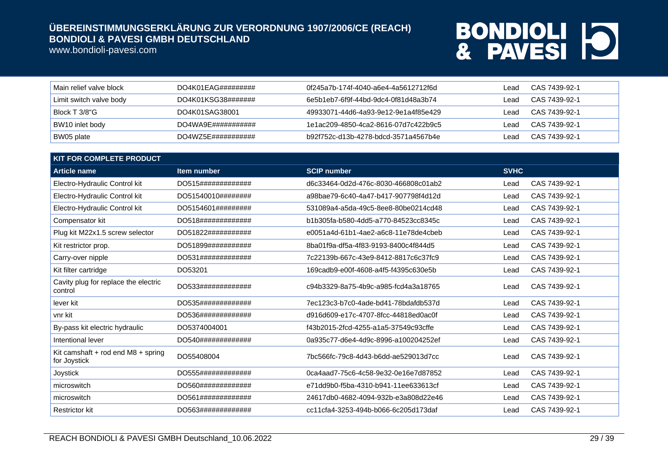www.bondioli-pavesi.com

| Main relief valve block | $DO4K01EAG\#4\#4\#4\#4\#4$    | 0f245a7b-174f-4040-a6e4-4a5612712f6d | _ead | CAS 7439-92-1 |
|-------------------------|-------------------------------|--------------------------------------|------|---------------|
| Limit switch valve body | DO4K01KSG38#######            | 6e5b1eb7-6f9f-44bd-9dc4-0f81d48a3b74 | Lead | CAS 7439-92-1 |
| Block T 3/8"G           | DO4K01SAG38001                | 49933071-44d6-4a93-9e12-9e1a4f85e429 | Lead | CAS 7439-92-1 |
| BW10 inlet body         | DO4WA9F#4#4#4#4#4#4           | 1e1ac209-4850-4ca2-8616-07d7c422b9c5 | ead  | CAS 7439-92-1 |
| BW05 plate              | DO4WZ5E## # # # # # # # # # # | b92f752c-d13b-4278-bdcd-3571a4567b4e | ead  | CAS 7439-92-1 |

| <b>KIT FOR COMPLETE PRODUCT</b>                        |                    |                                      |             |               |
|--------------------------------------------------------|--------------------|--------------------------------------|-------------|---------------|
| <b>Article name</b>                                    | Item number        | <b>SCIP number</b>                   | <b>SVHC</b> |               |
| Electro-Hydraulic Control kit                          | DO515############# | d6c33464-0d2d-476c-8030-466808c01ab2 | Lead        | CAS 7439-92-1 |
| Electro-Hydraulic Control kit                          | DO51540010######## | a98bae79-6c40-4a47-b417-907798f4d12d | Lead        | CAS 7439-92-1 |
| Electro-Hydraulic Control kit                          | DO5154601######### | 531089a4-a5da-49c5-8ee8-80be0214cd48 | Lead        | CAS 7439-92-1 |
| Compensator kit                                        | DO518############# | b1b305fa-b580-4dd5-a770-84523cc8345c | Lead        | CAS 7439-92-1 |
| Plug kit M22x1.5 screw selector                        | DO51822########### | e0051a4d-61b1-4ae2-a6c8-11e78de4cbeb | Lead        | CAS 7439-92-1 |
| Kit restrictor prop.                                   | DO51899########### | 8ba01f9a-df5a-4f83-9193-8400c4f844d5 | Lead        | CAS 7439-92-1 |
| Carry-over nipple                                      | DO531############# | 7c22139b-667c-43e9-8412-8817c6c37fc9 | Lead        | CAS 7439-92-1 |
| Kit filter cartridge                                   | DO53201            | 169cadb9-e00f-4608-a4f5-f4395c630e5b | Lead        | CAS 7439-92-1 |
| Cavity plug for replace the electric<br>control        | DO533############# | c94b3329-8a75-4b9c-a985-fcd4a3a18765 | Lead        | CAS 7439-92-1 |
| lever kit                                              | DO535############# | 7ec123c3-b7c0-4ade-bd41-78bdafdb537d | Lead        | CAS 7439-92-1 |
| vnr kit                                                | DO536############# | d916d609-e17c-4707-8fcc-44818ed0ac0f | Lead        | CAS 7439-92-1 |
| By-pass kit electric hydraulic                         | DO5374004001       | f43b2015-2fcd-4255-a1a5-37549c93cffe | Lead        | CAS 7439-92-1 |
| Intentional lever                                      | DO540############# | 0a935c77-d6e4-4d9c-8996-a100204252ef | Lead        | CAS 7439-92-1 |
| Kit camshaft $+$ rod end M8 $+$ spring<br>for Joystick | DO55408004         | 7bc566fc-79c8-4d43-b6dd-ae529013d7cc | Lead        | CAS 7439-92-1 |
| Joystick                                               | DO555############# | 0ca4aad7-75c6-4c58-9e32-0e16e7d87852 | Lead        | CAS 7439-92-1 |
| microswitch                                            | DO560############# | e71dd9b0-f5ba-4310-b941-11ee633613cf | Lead        | CAS 7439-92-1 |
| microswitch                                            | DO561############# | 24617db0-4682-4094-932b-e3a808d22e46 | Lead        | CAS 7439-92-1 |
| <b>Restrictor kit</b>                                  | DO563############# | cc11cfa4-3253-494b-b066-6c205d173daf | Lead        | CAS 7439-92-1 |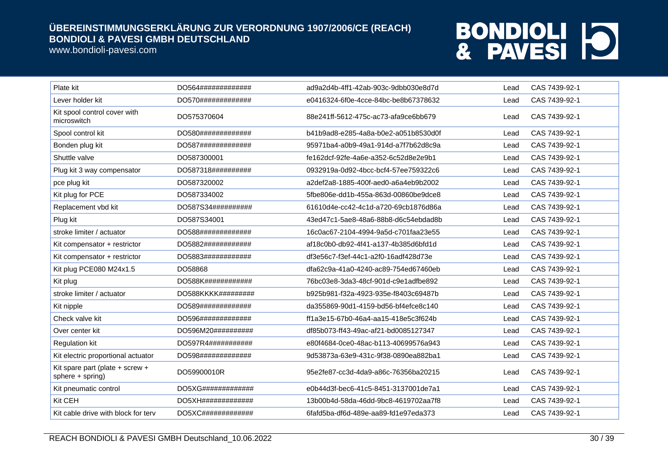www.bondioli-pavesi.com

| Plate kit                                           | DO564#############     | ad9a2d4b-4ff1-42ab-903c-9dbb030e8d7d | Lead | CAS 7439-92-1 |
|-----------------------------------------------------|------------------------|--------------------------------------|------|---------------|
| Lever holder kit                                    | DO570#############     | e0416324-6f0e-4cce-84bc-be8b67378632 | Lead | CAS 7439-92-1 |
| Kit spool control cover with<br>microswitch         | DO575370604            | 88e241ff-5612-475c-ac73-afa9ce6bb679 | Lead | CAS 7439-92-1 |
| Spool control kit                                   | DO580#############     | b41b9ad8-e285-4a8a-b0e2-a051b8530d0f | Lead | CAS 7439-92-1 |
| Bonden plug kit                                     | DO587#############     | 95971ba4-a0b9-49a1-914d-a7f7b62d8c9a | Lead | CAS 7439-92-1 |
| Shuttle valve                                       | DO587300001            | fe162dcf-92fe-4a6e-a352-6c52d8e2e9b1 | Lead | CAS 7439-92-1 |
| Plug kit 3 way compensator                          | DO587318##########     | 0932919a-0d92-4bcc-bcf4-57ee759322c6 | Lead | CAS 7439-92-1 |
| pce plug kit                                        | DO587320002            | a2def2a8-1885-400f-aed0-a6a4eb9b2002 | Lead | CAS 7439-92-1 |
| Kit plug for PCE                                    | DO587334002            | 5fbe806e-dd1b-455a-863d-00860be9dce8 | Lead | CAS 7439-92-1 |
| Replacement vbd kit                                 | DO587S34##########     | 61610d4e-cc42-4c1d-a720-69cb1876d86a | Lead | CAS 7439-92-1 |
| Plug kit                                            | DO587S34001            | 43ed47c1-5ae8-48a6-88b8-d6c54ebdad8b | Lead | CAS 7439-92-1 |
| stroke limiter / actuator                           | DO588#############     | 16c0ac67-2104-4994-9a5d-c701faa23e55 | Lead | CAS 7439-92-1 |
| Kit compensator + restrictor                        | DO5882############     | af18c0b0-db92-4f41-a137-4b385d6bfd1d | Lead | CAS 7439-92-1 |
| Kit compensator + restrictor                        | DO5883############     | df3e56c7-f3ef-44c1-a2f0-16adf428d73e | Lead | CAS 7439-92-1 |
| Kit plug PCE080 M24x1.5                             | DO58868                | dfa62c9a-41a0-4240-ac89-754ed67460eb | Lead | CAS 7439-92-1 |
| Kit plug                                            | DO588K############     | 76bc03e8-3da3-48cf-901d-c9e1adfbe892 | Lead | CAS 7439-92-1 |
| stroke limiter / actuator                           | DO588KKKK#########     | b925b981-f32a-4923-935e-f8403c69487b | Lead | CAS 7439-92-1 |
| Kit nipple                                          | DO589#############     | da355869-90d1-4159-bd56-bf4efce8c140 | Lead | CAS 7439-92-1 |
| Check valve kit                                     | DO596#############     | ff1a3e15-67b0-46a4-aa15-418e5c3f624b | Lead | CAS 7439-92-1 |
| Over center kit                                     | DO596M20##########     | df85b073-ff43-49ac-af21-bd0085127347 | Lead | CAS 7439-92-1 |
| <b>Regulation kit</b>                               | DO597R4###########     | e80f4684-0ce0-48ac-b113-40699576a943 | Lead | CAS 7439-92-1 |
| Kit electric proportional actuator                  | DO598#############     | 9d53873a-63e9-431c-9f38-0890ea882ba1 | Lead | CAS 7439-92-1 |
| Kit spare part (plate + screw +<br>sphere + spring) | DO59900010R            | 95e2fe87-cc3d-4da9-a86c-76356ba20215 | Lead | CAS 7439-92-1 |
| Kit pneumatic control                               | $DOSXG$ ############## | e0b44d3f-bec6-41c5-8451-3137001de7a1 | Lead | CAS 7439-92-1 |
| Kit CEH                                             | $DOSX$ H#############  | 13b00b4d-58da-46dd-9bc8-4619702aa7f8 | Lead | CAS 7439-92-1 |
| Kit cable drive with block for terv                 | $DO5XC$ ############## | 6fafd5ba-df6d-489e-aa89-fd1e97eda373 | Lead | CAS 7439-92-1 |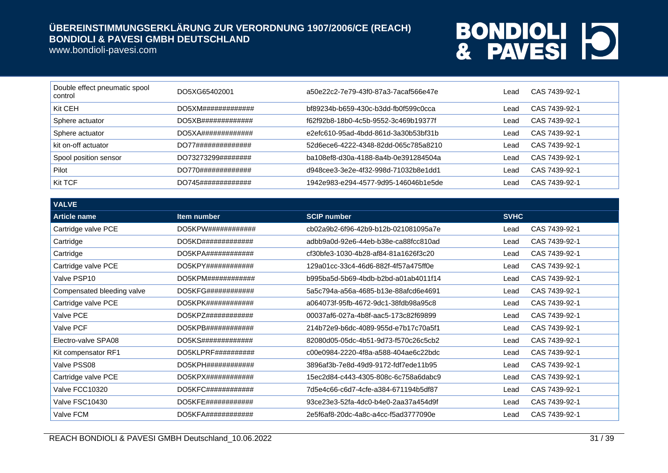www.bondioli-pavesi.com

| Double effect pneumatic spool<br>control | DO5XG65402001      | a50e22c2-7e79-43f0-87a3-7acaf566e47e | ∟ead  | CAS 7439-92-1 |
|------------------------------------------|--------------------|--------------------------------------|-------|---------------|
| Kit CEH                                  | DO5XM############# | bf89234b-b659-430c-b3dd-fb0f599c0cca | ∟ead  | CAS 7439-92-1 |
| Sphere actuator                          | DO5XB############# | f62f92b8-18b0-4c5b-9552-3c469b19377f | ∟ead  | CAS 7439-92-1 |
| Sphere actuator                          | DO5XA############# | e2efc610-95ad-4bdd-861d-3a30b53bf31b | ∟ead  | CAS 7439-92-1 |
| kit on-off actuator                      | DO77############## | 52d6ece6-4222-4348-82dd-065c785a8210 | ∟ead  | CAS 7439-92-1 |
| Spool position sensor                    | DO73273299######## | ba108ef8-d30a-4188-8a4b-0e391284504a | Lead. | CAS 7439-92-1 |
| Pilot                                    | DO770############# | d948cee3-3e2e-4f32-998d-71032b8e1dd1 | ∟ead  | CAS 7439-92-1 |
| Kit TCF                                  | DO745############# | 1942e983-e294-4577-9d95-146046b1e5de | _ead  | CAS 7439-92-1 |

| <b>VALVE</b>               |                                 |                                      |             |               |
|----------------------------|---------------------------------|--------------------------------------|-------------|---------------|
| <b>Article name</b>        | Item number                     | <b>SCIP number</b>                   | <b>SVHC</b> |               |
| Cartridge valve PCE        | DO5KPW############              | cb02a9b2-6f96-42b9-b12b-021081095a7e | Lead        | CAS 7439-92-1 |
| Cartridge                  | DO5KD#############              | adbb9a0d-92e6-44eb-b38e-ca88fcc810ad | Lead        | CAS 7439-92-1 |
| Cartridge                  | $DO5KPA$ #############          | cf30bfe3-1030-4b28-af84-81a1626f3c20 | Lead        | CAS 7439-92-1 |
| Cartridge valve PCE        | DO5KPY# # # # # # # # # # # # # | 129a01cc-33c4-46d6-882f-4f57a475ff0e | Lead        | CAS 7439-92-1 |
| Valve PSP10                | DO5KPM############              | b995ba5d-5b69-4bdb-b2bd-a01ab4011f14 | Lead        | CAS 7439-92-1 |
| Compensated bleeding valve | DO5KFG############              | 5a5c794a-a56a-4685-b13e-88afcd6e4691 | Lead        | CAS 7439-92-1 |
| Cartridge valve PCE        | DO5KPK############              | a064073f-95fb-4672-9dc1-38fdb98a95c8 | Lead        | CAS 7439-92-1 |
| Valve PCE                  | DO5KPZ# # # # # # # # # # # # # | 00037af6-027a-4b8f-aac5-173c82f69899 | Lead        | CAS 7439-92-1 |
| Valve PCF                  | $DO5KPB$ #############          | 214b72e9-b6dc-4089-955d-e7b17c70a5f1 | Lead        | CAS 7439-92-1 |
| Electro-valve SPA08        | DO5KS#############              | 82080d05-05dc-4b51-9d73-f570c26c5cb2 | Lead        | CAS 7439-92-1 |
| Kit compensator RF1        | DO5KLPRF##########              | c00e0984-2220-4f8a-a588-404ae6c22bdc | Lead        | CAS 7439-92-1 |
| Valve PSS08                | DO5KPH# # # # # # # # # # # # # | 3896af3b-7e8d-49d9-9172-fdf7ede11b95 | Lead        | CAS 7439-92-1 |
| Cartridge valve PCE        | $DO5KPX$ #####################  | 15ec2d84-c443-4305-808c-6c758a6dabc9 | Lead        | CAS 7439-92-1 |
| Valve FCC10320             | $DO5KFC\#4\#4\#4\#4\#4\#4\#4$   | 7d5e4c66-c6d7-4cfe-a384-671194b5df87 | Lead        | CAS 7439-92-1 |
| Valve FSC10430             | $DO5KFE$ #############          | 93ce23e3-52fa-4dc0-b4e0-2aa37a454d9f | Lead        | CAS 7439-92-1 |
| Valve FCM                  | DO5KFA# # # # # # # # # # # # # | 2e5f6af8-20dc-4a8c-a4cc-f5ad3777090e | Lead        | CAS 7439-92-1 |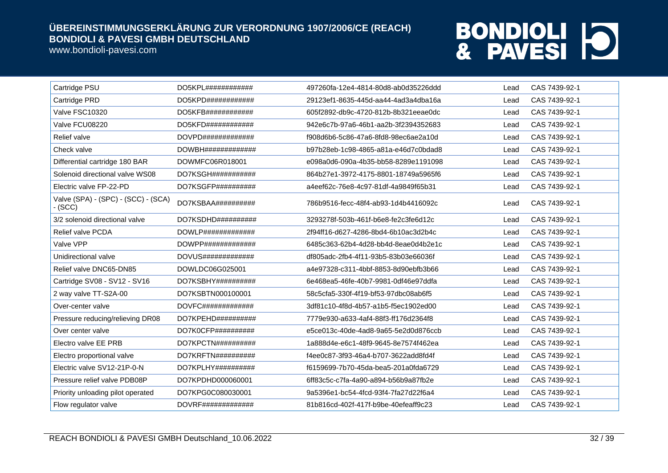www.bondioli-pavesi.com

| Cartridge PSU                                    | DO5KPL############              | 497260fa-12e4-4814-80d8-ab0d35226ddd | Lead | CAS 7439-92-1 |
|--------------------------------------------------|---------------------------------|--------------------------------------|------|---------------|
| Cartridge PRD                                    | DO5KPD############              | 29123ef1-8635-445d-aa44-4ad3a4dba16a | Lead | CAS 7439-92-1 |
| Valve FSC10320                                   | DO5KFB############              | 605f2892-db9c-4720-812b-8b321eeae0dc | Lead | CAS 7439-92-1 |
| Valve FCU08220                                   | DO5KFD############              | 942e6c7b-97a6-46b1-aa2b-3f2394352683 | Lead | CAS 7439-92-1 |
| Relief valve                                     |                                 | f908d6b6-5c86-47a6-8fd8-98ec6ae2a10d | Lead | CAS 7439-92-1 |
| Check valve                                      | DOWBH#############              | b97b28eb-1c98-4865-a81a-e46d7c0bdad8 | Lead | CAS 7439-92-1 |
| Differential cartridge 180 BAR                   | DOWMFC06R018001                 | e098a0d6-090a-4b35-bb58-8289e1191098 | Lead | CAS 7439-92-1 |
| Solenoid directional valve WS08                  | DO7KSGH###########              | 864b27e1-3972-4175-8801-18749a5965f6 | Lead | CAS 7439-92-1 |
| Electric valve FP-22-PD                          | DO7KSGFP##########              | a4eef62c-76e8-4c97-81df-4a9849f65b31 | Lead | CAS 7439-92-1 |
| Valve (SPA) - (SPC) - (SCC) - (SCA)<br>$-$ (SCC) | DO7KSBAA##########              | 786b9516-fecc-48f4-ab93-1d4b4416092c | Lead | CAS 7439-92-1 |
| 3/2 solenoid directional valve                   | DO7KSDHD##########              | 3293278f-503b-461f-b6e8-fe2c3fe6d12c | Lead | CAS 7439-92-1 |
| Relief valve PCDA                                |                                 | 2f94ff16-d627-4286-8bd4-6b10ac3d2b4c | Lead | CAS 7439-92-1 |
| Valve VPP                                        | $DOWPP$ ##############          | 6485c363-62b4-4d28-bb4d-8eae0d4b2e1c | Lead | CAS 7439-92-1 |
| Unidirectional valve                             | $DOVUS\#$ #############         | df805adc-2fb4-4f11-93b5-83b03e66036f | Lead | CAS 7439-92-1 |
| Relief valve DNC65-DN85                          | DOWLDC06G025001                 | a4e97328-c311-4bbf-8853-8d90ebfb3b66 | Lead | CAS 7439-92-1 |
| Cartridge SV08 - SV12 - SV16                     | DO7KSBHY##########              | 6e468ea5-46fe-40b7-9981-0df46e97ddfa | Lead | CAS 7439-92-1 |
| 2 way valve TT-S2A-00                            | DO7KSBTN000100001               | 58c5cfa5-330f-4f19-bf53-97dbc08ab6f5 | Lead | CAS 7439-92-1 |
| Over-center valve                                | $DOVFC\#4\#4\#4\#4\#4\#4\#4\#4$ | 3df81c10-4f8d-4b57-a1b5-f5ec1902ed00 | Lead | CAS 7439-92-1 |
| Pressure reducing/relieving DR08                 | DO7KPEHD##########              | 7779e930-a633-4af4-88f3-ff176d2364f8 | Lead | CAS 7439-92-1 |
| Over center valve                                | DO7K0CFP##########              | e5ce013c-40de-4ad8-9a65-5e2d0d876ccb | Lead | CAS 7439-92-1 |
| Electro valve EE PRB                             | DO7KPCTN##########              | 1a888d4e-e6c1-48f9-9645-8e7574f462ea | Lead | CAS 7439-92-1 |
| Electro proportional valve                       | DO7KRFTN# # # # # # # # # # #   | f4ee0c87-3f93-46a4-b707-3622add8fd4f | Lead | CAS 7439-92-1 |
| Electric valve SV12-21P-0-N                      | $DO7KPLHY$ ##########           | f6159699-7b70-45da-bea5-201a0fda6729 | Lead | CAS 7439-92-1 |
| Pressure relief valve PDB08P                     | DO7KPDHD000060001               | 6ff83c5c-c7fa-4a90-a894-b56b9a87fb2e | Lead | CAS 7439-92-1 |
| Priority unloading pilot operated                | DO7KPG0C080030001               | 9a5396e1-bc54-4fcd-93f4-7fa27d22f6a4 | Lead | CAS 7439-92-1 |
| Flow regulator valve                             | DOVRF##############             | 81b816cd-402f-417f-b9be-40efeaff9c23 | Lead | CAS 7439-92-1 |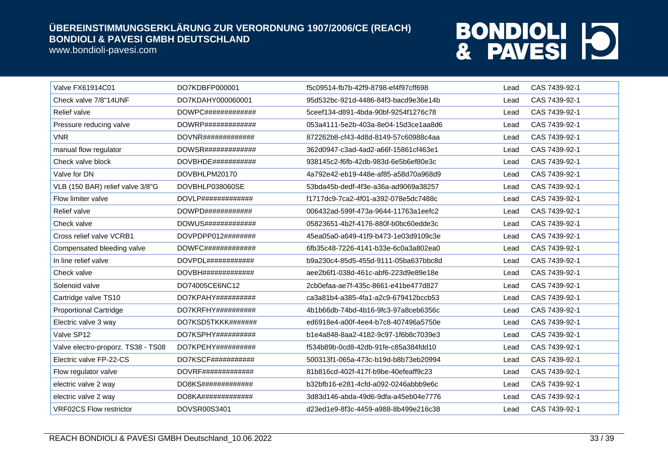www.bondioli-pavesi.com

| <b>Valve FX61914C01</b>            | DO7KDBFP000001                          | f5c09514-fb7b-42f9-8798-ef4f97cff698 | Lead | CAS 7439-92-1 |
|------------------------------------|-----------------------------------------|--------------------------------------|------|---------------|
| Check valve 7/8"14UNF              | DO7KDAHY000060001                       | 95d532bc-921d-4486-84f3-bacd9e36e14b | Lead | CAS 7439-92-1 |
| <b>Relief valve</b>                | DOWPC#############                      | 5ceef134-d891-4bda-90bf-9254f1276c78 | Lead | CAS 7439-92-1 |
| Pressure reducing valve            | DOWRP#############                      | 053a4111-5e2b-403a-8e04-15d3ce1aa8d6 | Lead | CAS 7439-92-1 |
| <b>VNR</b>                         | $DOVNR$ #############                   | 872262b8-cf43-4d8d-8149-57c60988c4aa | Lead | CAS 7439-92-1 |
| manual flow regulator              |                                         | 362d0947-c3ad-4ad2-a66f-15861cf463e1 | Lead | CAS 7439-92-1 |
| Check valve block                  | $DOVBHDE$ ############                  | 938145c2-f6fb-42db-983d-6e5b6ef80e3c | Lead | CAS 7439-92-1 |
| Valve for DN                       | DOVBHLPM20170                           | 4a792e42-eb19-448e-af85-a58d70a968d9 | Lead | CAS 7439-92-1 |
| VLB (150 BAR) relief valve 3/8"G   | DOVBHLP038060SE                         | 53bda45b-dedf-4f3e-a36a-ad9069a38257 | Lead | CAS 7439-92-1 |
| Flow limiter valve                 | $DOVLP$ ##############                  | f1717dc9-7ca2-4f01-a392-078e5dc7488c | Lead | CAS 7439-92-1 |
| <b>Relief valve</b>                | $DOWPD\#4\#4\#4\#4\#4\#4\#4$            | 006432ad-599f-473a-9644-11763a1eefc2 | Lead | CAS 7439-92-1 |
| Check valve                        | DOWUS#############                      | 05823651-4b2f-4176-880f-b0bc60edde3c | Lead | CAS 7439-92-1 |
| Cross relief valve VCRB1           | DOVPDPP012########                      | 45ea05a0-a649-41f9-b473-1e03d9109c3e | Lead | CAS 7439-92-1 |
| Compensated bleeding valve         | $DOWFC\# \# \# \# \# \# \# \# \# \# \#$ | 6fb35c48-7226-4141-b33e-6c0a3a802ea0 | Lead | CAS 7439-92-1 |
| In line relief valve               |                                         | b9a230c4-85d5-455d-9111-05ba637bbc8d | Lead | CAS 7439-92-1 |
| Check valve                        | DOVBH############                       | aee2b6f1-038d-461c-abf6-223d9e89e18e | Lead | CAS 7439-92-1 |
| Solenoid valve                     | DO74005CE6NC12                          | 2cb0efaa-ae7f-435c-8661-e41be477d827 | Lead | CAS 7439-92-1 |
| Cartridge valve TS10               | DO7KPAHY##########                      | ca3a81b4-a385-4fa1-a2c9-679412bccb53 | Lead | CAS 7439-92-1 |
| <b>Proportional Cartridge</b>      | $DO7KRFHY$ ##########                   | 4b1b66db-74bd-4b16-9fc3-97a8ceb6356c | Lead | CAS 7439-92-1 |
| Electric valve 3 way               | DO7KSD5TKKK#######                      | ed6918e4-a00f-4ee4-b7c8-407496a5750e | Lead | CAS 7439-92-1 |
| Valve SP12                         | DO7KSPHY##########                      | b1e4a848-8aa2-4182-9c97-1f6b8c7039e3 | Lead | CAS 7439-92-1 |
| Valve electro-proporz. TS38 - TS08 | DO7KPEHY##########                      | f534b89b-0cd8-42db-91fe-c85a384fdd10 | Lead | CAS 7439-92-1 |
| Electric valve FP-22-CS            | $DO7KSCF$ ############                  | 500313f1-065a-473c-b19d-b8b73eb20994 | Lead | CAS 7439-92-1 |
| Flow regulator valve               | DOVRF##############                     | 81b816cd-402f-417f-b9be-40efeaff9c23 | Lead | CAS 7439-92-1 |
| electric valve 2 way               | DO8KS#############                      | b32bfb16-e281-4cfd-a092-0246abbb9e6c | Lead | CAS 7439-92-1 |
| electric valve 2 way               | DO8KA#############                      | 3d83d146-abda-49d6-9dfa-a45eb04e7776 | Lead | CAS 7439-92-1 |
| <b>VRF02CS Flow restrictor</b>     | DOVSR00S3401                            | d23ed1e9-8f3c-4459-a988-8b499e216c38 | Lead | CAS 7439-92-1 |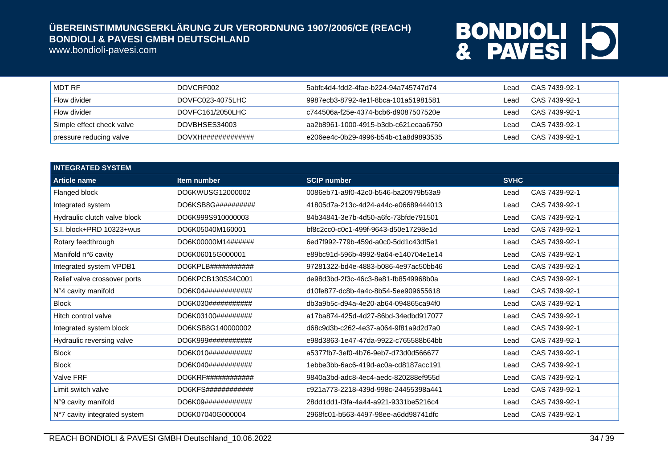www.bondioli-pavesi.com

| MDT RF                      | DOVCRF002           | 5abfc4d4-fdd2-4fae-b224-94a745747d74 | _ead   | CAS 7439-92-1 |
|-----------------------------|---------------------|--------------------------------------|--------|---------------|
| Flow divider                | DOVFC023-4075LHC    | 9987ecb3-8792-4e1f-8bca-101a51981581 | Lead   | CAS 7439-92-1 |
| Flow divider                | DOVFC161/2050LHC    | c744506a-f25e-4374-bcb6-d9087507520e | ead    | CAS 7439-92-1 |
| ' Simple effect check valve | DOVBHSES34003       | aa2b8961-1000-4915-b3db-c621ecaa6750 | l ead. | CAS 7439-92-1 |
| pressure reducing valve     | DOVXH############## | e206ee4c-0b29-4996-b54b-c1a8d9893535 | ead    | CAS 7439-92-1 |

| <b>INTEGRATED SYSTEM</b>     |                       |                                      |             |               |
|------------------------------|-----------------------|--------------------------------------|-------------|---------------|
| <b>Article name</b>          | Item number           | <b>SCIP number</b>                   | <b>SVHC</b> |               |
| Flanged block                | DO6KWUSG12000002      | 0086eb71-a9f0-42c0-b546-ba20979b53a9 | Lead        | CAS 7439-92-1 |
| Integrated system            | DO6KSB8G##########    | 41805d7a-213c-4d24-a44c-e06689444013 | Lead        | CAS 7439-92-1 |
| Hydraulic clutch valve block | DO6K999S910000003     | 84b34841-3e7b-4d50-a6fc-73bfde791501 | Lead        | CAS 7439-92-1 |
| S.I. block+PRD 10323+wus     | DO6K05040M160001      | bf8c2cc0-c0c1-499f-9643-d50e17298e1d | Lead        | CAS 7439-92-1 |
| Rotary feedthrough           | DO6K00000M14######    | 6ed7f992-779b-459d-a0c0-5dd1c43df5e1 | Lead        | CAS 7439-92-1 |
| Manifold n°6 cavity          | DO6K06015G000001      | e89bc91d-596b-4992-9a64-e140704e1e14 | Lead        | CAS 7439-92-1 |
| Integrated system VPDB1      | $DO6KPLB$ ########### | 97281322-bd4e-4883-b086-4e97ac50bb46 | Lead        | CAS 7439-92-1 |
| Relief valve crossover ports | DO6KPCB130S34C001     | de98d3bd-2f3c-46c3-8e81-fb8549968b0a | Lead        | CAS 7439-92-1 |
| N°4 cavity manifold          | DO6K04############    | d10fe877-dc8b-4a4c-8b54-5ee909655618 | Lead        | CAS 7439-92-1 |
| <b>Block</b>                 | DO6K030############   | db3a9b5c-d94a-4e20-ab64-094865ca94f0 | Lead        | CAS 7439-92-1 |
| Hitch control valve          | DO6K03100#########    | a17ba874-425d-4d27-86bd-34edbd917077 | Lead        | CAS 7439-92-1 |
| Integrated system block      | DO6KSB8G140000002     | d68c9d3b-c262-4e37-a064-9f81a9d2d7a0 | Lead        | CAS 7439-92-1 |
| Hydraulic reversing valve    | DO6K999############   | e98d3863-1e47-47da-9922-c765588b64bb | Lead        | CAS 7439-92-1 |
| <b>Block</b>                 | DO6K010###########    | a5377fb7-3ef0-4b76-9eb7-d73d0d566677 | Lead        | CAS 7439-92-1 |
| <b>Block</b>                 | DO6K040###########    | 1ebbe3bb-6ac6-419d-ac0a-cd8187acc191 | Lead        | CAS 7439-92-1 |
| Valve FRF                    | DO6KRF############    | 9840a3bd-adc8-4ec4-aedc-820288ef955d | Lead        | CAS 7439-92-1 |
| Limit switch valve           | DO6KFS############    | c921a773-2218-439d-998c-24455398a441 | Lead        | CAS 7439-92-1 |
| N°9 cavity manifold          | DO6K09############    | 28dd1dd1-f3fa-4a44-a921-9331be5216c4 | Lead        | CAS 7439-92-1 |
| N°7 cavity integrated system | DO6K07040G000004      | 2968fc01-b563-4497-98ee-a6dd98741dfc | Lead        | CAS 7439-92-1 |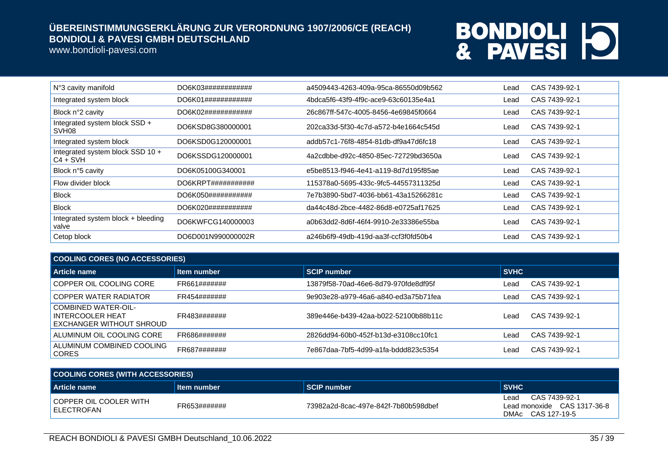### www.bondioli-pavesi.com

| N°3 cavity manifold                                | DO6K03#############          | a4509443-4263-409a-95ca-86550d09b562 | Lead | CAS 7439-92-1 |
|----------------------------------------------------|------------------------------|--------------------------------------|------|---------------|
| Integrated system block                            | DO6K01############           | 4bdca5f6-43f9-4f9c-ace9-63c60135e4a1 | Lead | CAS 7439-92-1 |
| Block n°2 cavity                                   | DO6K02############           | 26c867ff-547c-4005-8456-4e69845f0664 | Lead | CAS 7439-92-1 |
| Integrated system block SSD +<br>SVH <sub>08</sub> | DO6KSD8G380000001            | 202ca33d-5f30-4c7d-a572-b4e1664c545d | Lead | CAS 7439-92-1 |
| Integrated system block                            | DO6KSD0G120000001            | addb57c1-76f8-4854-81db-df9a47d6fc18 | Lead | CAS 7439-92-1 |
| Integrated system block SSD 10 +<br>I C4 + SVH     | DO6KSSDG120000001            | 4a2cdbbe-d92c-4850-85ec-72729bd3650a | Lead | CAS 7439-92-1 |
| Block n°5 cavity                                   | DO6K05100G340001             | e5be8513-f946-4e41-a119-8d7d195f85ae | Lead | CAS 7439-92-1 |
| Flow divider block                                 | DO6KRPT# # # # # # # # # # # | 115378a0-5695-433c-9fc5-44557311325d | Lead | CAS 7439-92-1 |
| <b>Block</b>                                       | DO6K050############          | 7e7b3890-5bd7-4036-bb61-43a15266281c | Lead | CAS 7439-92-1 |
| <b>Block</b>                                       | DO6K020###########           | da44c48d-2bce-4482-86d8-e0725af17625 | Lead | CAS 7439-92-1 |
| Integrated system block + bleeding<br>valve        | DO6KWFCG140000003            | a0b63dd2-8d6f-46f4-9910-2e33386e55ba | Lead | CAS 7439-92-1 |
| Cetop block                                        | DO6D001N990000002R           | a246b6f9-49db-419d-aa3f-ccf3f0fd50b4 | Lead | CAS 7439-92-1 |
|                                                    |                              |                                      |      |               |

| <b>COOLING CORES (NO ACCESSORIES)</b>                                      |              |                                      |             |               |  |
|----------------------------------------------------------------------------|--------------|--------------------------------------|-------------|---------------|--|
| <b>Article name</b>                                                        | Item number  | <b>SCIP number</b>                   | <b>SVHC</b> |               |  |
| COPPER OIL COOLING CORE                                                    | FR661####### | 13879f58-70ad-46e6-8d79-970fde8df95f | Lead        | CAS 7439-92-1 |  |
| COPPER WATER RADIATOR                                                      | FR454####### | 9e903e28-a979-46a6-a840-ed3a75b71fea | Lead        | CAS 7439-92-1 |  |
| COMBINED WATER-OIL-<br>INTERCOOLER HEAT<br><b>EXCHANGER WITHOUT SHROUD</b> | FR483####### | 389e446e-b439-42aa-b022-52100b88b11c | ∟ead        | CAS 7439-92-1 |  |
| ALUMINUM OIL COOLING CORE                                                  | FR686####### | 2826dd94-60b0-452f-b13d-e3108cc10fc1 | Lead        | CAS 7439-92-1 |  |
| ALUMINUM COMBINED COOLING<br><b>CORES</b>                                  | FR687####### | 7e867daa-7bf5-4d99-a1fa-bddd823c5354 | ∟ead        | CAS 7439-92-1 |  |

| <b>COOLING CORES (WITH ACCESSORIES)</b>  |              |                                      |                                                                           |  |
|------------------------------------------|--------------|--------------------------------------|---------------------------------------------------------------------------|--|
| <b>Article name</b>                      | Item number  | <b>SCIP number</b>                   | <b>SVHC</b>                                                               |  |
| I COPPER OIL COOLER WITH<br>I ELECTROFAN | FR653####### | 73982a2d-8cac-497e-842f-7b80b598dbef | CAS 7439-92-1<br>Lead<br>Lead monoxide CAS 1317-36-8<br>DMAc CAS 127-19-5 |  |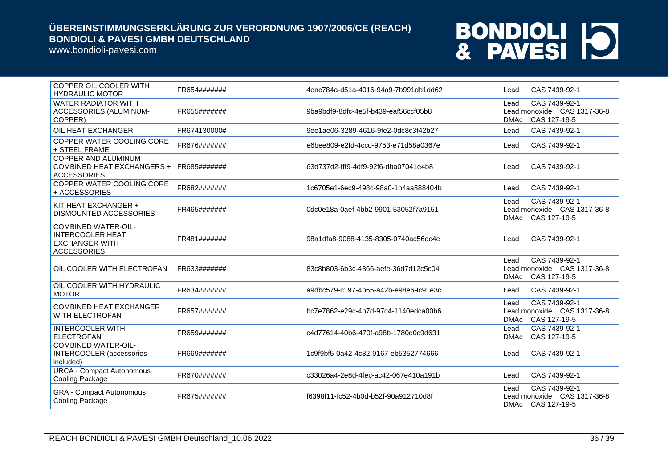www.bondioli-pavesi.com

| COPPER OIL COOLER WITH<br><b>HYDRAULIC MOTOR</b>                                                     | FR654####### | 4eac784a-d51a-4016-94a9-7b991db1dd62 | CAS 7439-92-1<br>Lead                                                               |
|------------------------------------------------------------------------------------------------------|--------------|--------------------------------------|-------------------------------------------------------------------------------------|
| <b>WATER RADIATOR WITH</b><br>ACCESSORIES (ALUMINUM-<br>COPPER)                                      | FR655####### | 9ba9bdf9-8dfc-4e5f-b439-eaf56ccf05b8 | CAS 7439-92-1<br>Lead<br>Lead monoxide CAS 1317-36-8<br>CAS 127-19-5<br><b>DMAc</b> |
| OIL HEAT EXCHANGER                                                                                   | FR674130000# | 9ee1ae06-3289-4616-9fe2-0dc8c3f42b27 | CAS 7439-92-1<br>Lead                                                               |
| <b>COPPER WATER COOLING CORE</b><br>+ STEEL FRAME                                                    | FR676####### | e6bee809-e2fd-4ccd-9753-e71d58a0367e | CAS 7439-92-1<br>Lead                                                               |
| <b>COPPER AND ALUMINUM</b><br>COMBINED HEAT EXCHANGERS +<br><b>ACCESSORIES</b>                       | FR685####### | 63d737d2-fff9-4df9-92f6-dba07041e4b8 | CAS 7439-92-1<br>Lead                                                               |
| COPPER WATER COOLING CORE<br>+ ACCESSORIES                                                           | FR682####### | 1c6705e1-6ec9-498c-98a0-1b4aa588404b | CAS 7439-92-1<br>Lead                                                               |
| KIT HEAT EXCHANGER +<br>DISMOUNTED ACCESSORIES                                                       | FR465####### | 0dc0e18a-0aef-4bb2-9901-53052f7a9151 | CAS 7439-92-1<br>Lead<br>Lead monoxide CAS 1317-36-8<br>DMAc CAS 127-19-5           |
| <b>COMBINED WATER-OIL-</b><br><b>INTERCOOLER HEAT</b><br><b>EXCHANGER WITH</b><br><b>ACCESSORIES</b> | FR481####### | 98a1dfa8-9088-4135-8305-0740ac56ac4c | CAS 7439-92-1<br>Lead                                                               |
| OIL COOLER WITH ELECTROFAN                                                                           | FR633####### | 83c8b803-6b3c-4366-aefe-36d7d12c5c04 | CAS 7439-92-1<br>Lead<br>Lead monoxide CAS 1317-36-8<br>CAS 127-19-5<br><b>DMAc</b> |
| OIL COOLER WITH HYDRAULIC<br><b>MOTOR</b>                                                            | FR634####### | a9dbc579-c197-4b65-a42b-e98e69c91e3c | CAS 7439-92-1<br>Lead                                                               |
| COMBINED HEAT EXCHANGER<br><b>WITH ELECTROFAN</b>                                                    | FR657####### | bc7e7862-e29c-4b7d-97c4-1140edca00b6 | CAS 7439-92-1<br>Lead<br>Lead monoxide CAS 1317-36-8<br>CAS 127-19-5<br><b>DMAc</b> |
| <b>INTERCOOLER WITH</b><br><b>ELECTROFAN</b>                                                         | FR659####### | c4d77614-40b6-470f-a98b-1780e0c9d631 | CAS 7439-92-1<br>Lead<br><b>DMAc</b><br>CAS 127-19-5                                |
| <b>COMBINED WATER-OIL-</b><br><b>INTERCOOLER</b> (accessories<br>included)                           | FR669####### | 1c9f9bf5-0a42-4c82-9167-eb5352774666 | CAS 7439-92-1<br>Lead                                                               |
| <b>URCA - Compact Autonomous</b><br><b>Cooling Package</b>                                           | FR670####### | c33026a4-2e8d-4fec-ac42-067e410a191b | CAS 7439-92-1<br>Lead                                                               |
| <b>GRA - Compact Autonomous</b><br>Cooling Package                                                   | FR675####### | f6398f11-fc52-4b0d-b52f-90a912710d8f | CAS 7439-92-1<br>Lead<br>Lead monoxide CAS 1317-36-8<br>CAS 127-19-5<br><b>DMAc</b> |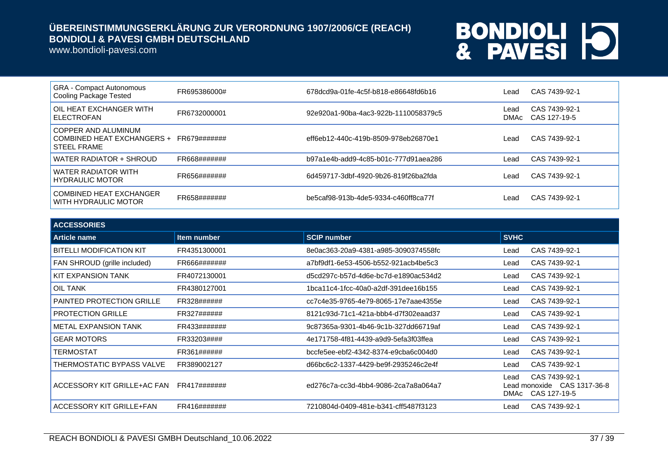www.bondioli-pavesi.com

| <b>GRA</b> - Compact Autonomous<br>Cooling Package Tested               | FR695386000# | 678dcd9a-01fe-4c5f-b818-e86648fd6b16 | Lead         | CAS 7439-92-1                 |
|-------------------------------------------------------------------------|--------------|--------------------------------------|--------------|-------------------------------|
| OIL HEAT EXCHANGER WITH<br><b>ELECTROFAN</b>                            | FR6732000001 | 92e920a1-90ba-4ac3-922b-1110058379c5 | Lead<br>DMAc | CAS 7439-92-1<br>CAS 127-19-5 |
| COPPER AND ALUMINUM<br>COMBINED HEAT EXCHANGERS +<br><b>STEEL FRAME</b> | FR679####### | eff6eb12-440c-419b-8509-978eb26870e1 | Lead         | CAS 7439-92-1                 |
| WATER RADIATOR + SHROUD                                                 | FR668####### | b97a1e4b-add9-4c85-b01c-777d91aea286 | Lead         | CAS 7439-92-1                 |
| WATER RADIATOR WITH<br>HYDRAULIC MOTOR                                  | FR656####### | 6d459717-3dbf-4920-9b26-819f26ba2fda | Lead         | CAS 7439-92-1                 |
| COMBINED HEAT EXCHANGER<br>WITH HYDRAULIC MOTOR                         | FR658####### | be5caf98-913b-4de5-9334-c460ff8ca77f | Lead         | CAS 7439-92-1                 |

| <b>ACCESSORIES</b>               |                    |                                      |                                                                              |
|----------------------------------|--------------------|--------------------------------------|------------------------------------------------------------------------------|
| <b>Article name</b>              | <b>Item number</b> | <b>SCIP number</b>                   | <b>SVHC</b>                                                                  |
| <b>BITELLI MODIFICATION KIT</b>  | FR4351300001       | 8e0ac363-20a9-4381-a985-3090374558fc | CAS 7439-92-1<br>Lead                                                        |
| FAN SHROUD (grille included)     | FR666#######       | a7bf9df1-6e53-4506-b552-921acb4be5c3 | CAS 7439-92-1<br>Lead                                                        |
| KIT EXPANSION TANK               | FR4072130001       | d5cd297c-b57d-4d6e-bc7d-e1890ac534d2 | CAS 7439-92-1<br>Lead                                                        |
| OIL TANK                         | FR4380127001       | 1bca11c4-1fcc-40a0-a2df-391dee16b155 | CAS 7439-92-1<br>Lead                                                        |
| <b>PAINTED PROTECTION GRILLE</b> | FR328######        | cc7c4e35-9765-4e79-8065-17e7aae4355e | CAS 7439-92-1<br>Lead                                                        |
| <b>PROTECTION GRILLE</b>         | FR327######        | 8121c93d-71c1-421a-bbb4-d7f302eaad37 | CAS 7439-92-1<br>Lead                                                        |
| <b>METAL EXPANSION TANK</b>      | FR433#######       | 9c87365a-9301-4b46-9c1b-327dd66719af | CAS 7439-92-1<br>Lead                                                        |
| <b>GEAR MOTORS</b>               | FR33203####        | 4e171758-4f81-4439-a9d9-5efa3f03ffea | CAS 7439-92-1<br>Lead                                                        |
| TERMOSTAT                        | FR361######        | bccfe5ee-ebf2-4342-8374-e9cba6c004d0 | CAS 7439-92-1<br>Lead                                                        |
| THERMOSTATIC BYPASS VALVE        | FR389002127        | d66bc6c2-1337-4429-be9f-2935246c2e4f | CAS 7439-92-1<br>Lead                                                        |
| ACCESSORY KIT GRILLE+AC FAN      | FR417#######       | ed276c7a-cc3d-4bb4-9086-2ca7a8a064a7 | CAS 7439-92-1<br>Lead<br>Lead monoxide CAS 1317-36-8<br>CAS 127-19-5<br>DMAc |
| ACCESSORY KIT GRILLE+FAN         | FR416#######       | 7210804d-0409-481e-b341-cff5487f3123 | CAS 7439-92-1<br>Lead                                                        |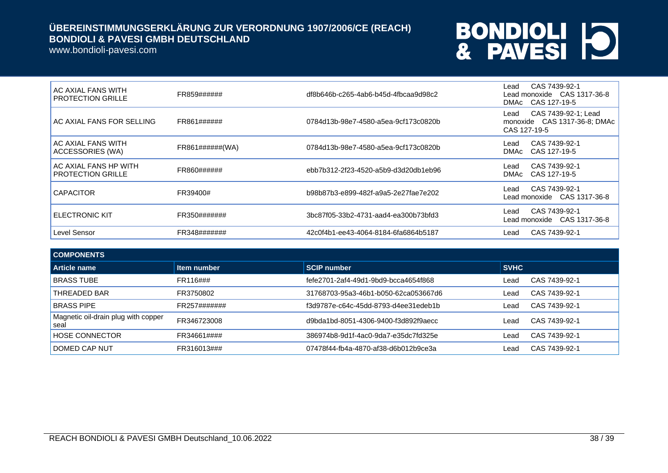www.bondioli-pavesi.com

| AC AXIAL FANS WITH<br><b>PROTECTION GRILLE</b>    | FR859######      | df8b646b-c265-4ab6-b45d-4fbcaa9d98c2 | CAS 7439-92-1<br>Lead<br>Lead monoxide CAS 1317-36-8<br>DMAc CAS 127-19-5   |
|---------------------------------------------------|------------------|--------------------------------------|-----------------------------------------------------------------------------|
| AC AXIAL FANS FOR SELLING                         | FR861######      | 0784d13b-98e7-4580-a5ea-9cf173c0820b | CAS 7439-92-1; Lead<br>Lead<br>monoxide CAS 1317-36-8; DMAc<br>CAS 127-19-5 |
| AC AXIAL FANS WITH<br><b>ACCESSORIES (WA)</b>     | FR861#######(WA) | 0784d13b-98e7-4580-a5ea-9cf173c0820b | CAS 7439-92-1<br>Lead<br>CAS 127-19-5<br>DMAc                               |
| AC AXIAL FANS HP WITH<br><b>PROTECTION GRILLE</b> | FR860######      | ebb7b312-2f23-4520-a5b9-d3d20db1eb96 | CAS 7439-92-1<br>Lead<br>CAS 127-19-5<br>DMAc                               |
| <b>CAPACITOR</b>                                  | FR39400#         | b98b87b3-e899-482f-a9a5-2e27fae7e202 | CAS 7439-92-1<br>Lead<br>CAS 1317-36-8<br>Lead monoxide                     |
| ELECTRONIC KIT                                    | FR350#######     | 3bc87f05-33b2-4731-aad4-ea300b73bfd3 | CAS 7439-92-1<br>Lead<br>CAS 1317-36-8<br>Lead monoxide                     |
| Level Sensor                                      | FR348#######     | 42c0f4b1-ee43-4064-8184-6fa6864b5187 | CAS 7439-92-1<br>Lead                                                       |

| <b>COMPONENTS</b>                           |              |                                      |             |               |
|---------------------------------------------|--------------|--------------------------------------|-------------|---------------|
| Article name                                | Item number  | <b>SCIP number</b>                   | <b>SVHC</b> |               |
| <b>BRASS TUBE</b>                           | FR116###     | fefe2701-2af4-49d1-9bd9-bcca4654f868 | Lead        | CAS 7439-92-1 |
| THREADED BAR                                | FR3750802    | 31768703-95a3-46b1-b050-62ca053667d6 | ∟ead        | CAS 7439-92-1 |
| <b>BRASS PIPE</b>                           | FR257####### | f3d9787e-c64c-45dd-8793-d4ee31edeb1b | ∟ead        | CAS 7439-92-1 |
| Magnetic oil-drain plug with copper<br>seal | FR346723008  | d9bda1bd-8051-4306-9400-f3d892f9aecc | _ead        | CAS 7439-92-1 |
| <b>HOSE CONNECTOR</b>                       | FR34661####  | 386974b8-9d1f-4ac0-9da7-e35dc7fd325e | _ead        | CAS 7439-92-1 |
| DOMED CAP NUT                               | FR316013###  | 07478f44-fb4a-4870-af38-d6b012b9ce3a | _ead        | CAS 7439-92-1 |